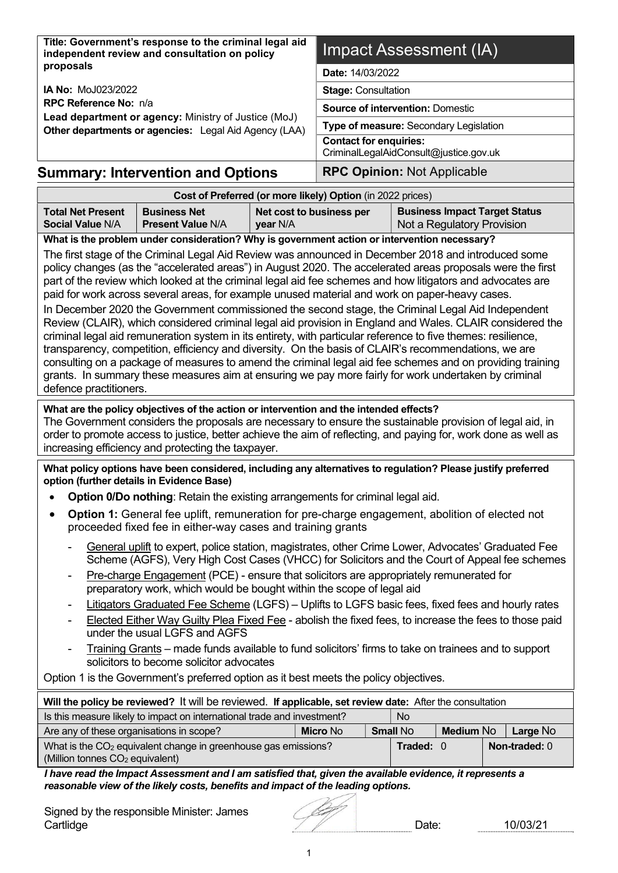| Title: Government's response to the criminal legal aid<br>independent review and consultation on policy                                                                                                                                                                                                                                                                                  | Impact Assessment (IA)                                                                                                                                                                                                                                                                                                                                                                                                                                                                                                                                                                                                                                                                                                                                                                                                                                                                                                                                                                                                                                                                                                                                                                                                     |                                      |                                         |                 |           |                                                                    |  |               |
|------------------------------------------------------------------------------------------------------------------------------------------------------------------------------------------------------------------------------------------------------------------------------------------------------------------------------------------------------------------------------------------|----------------------------------------------------------------------------------------------------------------------------------------------------------------------------------------------------------------------------------------------------------------------------------------------------------------------------------------------------------------------------------------------------------------------------------------------------------------------------------------------------------------------------------------------------------------------------------------------------------------------------------------------------------------------------------------------------------------------------------------------------------------------------------------------------------------------------------------------------------------------------------------------------------------------------------------------------------------------------------------------------------------------------------------------------------------------------------------------------------------------------------------------------------------------------------------------------------------------------|--------------------------------------|-----------------------------------------|-----------------|-----------|--------------------------------------------------------------------|--|---------------|
| proposals                                                                                                                                                                                                                                                                                                                                                                                |                                                                                                                                                                                                                                                                                                                                                                                                                                                                                                                                                                                                                                                                                                                                                                                                                                                                                                                                                                                                                                                                                                                                                                                                                            |                                      | Date: 14/03/2022                        |                 |           |                                                                    |  |               |
| <b>IA No: MoJ023/2022</b>                                                                                                                                                                                                                                                                                                                                                                | <b>Stage: Consultation</b>                                                                                                                                                                                                                                                                                                                                                                                                                                                                                                                                                                                                                                                                                                                                                                                                                                                                                                                                                                                                                                                                                                                                                                                                 |                                      |                                         |                 |           |                                                                    |  |               |
| RPC Reference No: n/a                                                                                                                                                                                                                                                                                                                                                                    |                                                                                                                                                                                                                                                                                                                                                                                                                                                                                                                                                                                                                                                                                                                                                                                                                                                                                                                                                                                                                                                                                                                                                                                                                            |                                      | <b>Source of intervention: Domestic</b> |                 |           |                                                                    |  |               |
|                                                                                                                                                                                                                                                                                                                                                                                          | Lead department or agency: Ministry of Justice (MoJ)<br>Other departments or agencies: Legal Aid Agency (LAA)                                                                                                                                                                                                                                                                                                                                                                                                                                                                                                                                                                                                                                                                                                                                                                                                                                                                                                                                                                                                                                                                                                              |                                      | Type of measure: Secondary Legislation  |                 |           |                                                                    |  |               |
|                                                                                                                                                                                                                                                                                                                                                                                          |                                                                                                                                                                                                                                                                                                                                                                                                                                                                                                                                                                                                                                                                                                                                                                                                                                                                                                                                                                                                                                                                                                                                                                                                                            |                                      | <b>Contact for enquiries:</b>           |                 |           |                                                                    |  |               |
|                                                                                                                                                                                                                                                                                                                                                                                          |                                                                                                                                                                                                                                                                                                                                                                                                                                                                                                                                                                                                                                                                                                                                                                                                                                                                                                                                                                                                                                                                                                                                                                                                                            |                                      | CriminalLegalAidConsult@justice.gov.uk  |                 |           |                                                                    |  |               |
|                                                                                                                                                                                                                                                                                                                                                                                          | <b>Summary: Intervention and Options</b>                                                                                                                                                                                                                                                                                                                                                                                                                                                                                                                                                                                                                                                                                                                                                                                                                                                                                                                                                                                                                                                                                                                                                                                   |                                      | <b>RPC Opinion: Not Applicable</b>      |                 |           |                                                                    |  |               |
|                                                                                                                                                                                                                                                                                                                                                                                          | Cost of Preferred (or more likely) Option (in 2022 prices)                                                                                                                                                                                                                                                                                                                                                                                                                                                                                                                                                                                                                                                                                                                                                                                                                                                                                                                                                                                                                                                                                                                                                                 |                                      |                                         |                 |           |                                                                    |  |               |
| <b>Total Net Present</b><br><b>Social Value N/A</b>                                                                                                                                                                                                                                                                                                                                      | <b>Business Net</b><br><b>Present Value N/A</b>                                                                                                                                                                                                                                                                                                                                                                                                                                                                                                                                                                                                                                                                                                                                                                                                                                                                                                                                                                                                                                                                                                                                                                            | Net cost to business per<br>year N/A |                                         |                 |           | <b>Business Impact Target Status</b><br>Not a Regulatory Provision |  |               |
|                                                                                                                                                                                                                                                                                                                                                                                          |                                                                                                                                                                                                                                                                                                                                                                                                                                                                                                                                                                                                                                                                                                                                                                                                                                                                                                                                                                                                                                                                                                                                                                                                                            |                                      |                                         |                 |           |                                                                    |  |               |
| What are the policy objectives of the action or intervention and the intended effects?                                                                                                                                                                                                                                                                                                   | What is the problem under consideration? Why is government action or intervention necessary?<br>The first stage of the Criminal Legal Aid Review was announced in December 2018 and introduced some<br>policy changes (as the "accelerated areas") in August 2020. The accelerated areas proposals were the first<br>part of the review which looked at the criminal legal aid fee schemes and how litigators and advocates are<br>paid for work across several areas, for example unused material and work on paper-heavy cases.<br>In December 2020 the Government commissioned the second stage, the Criminal Legal Aid Independent<br>Review (CLAIR), which considered criminal legal aid provision in England and Wales. CLAIR considered the<br>criminal legal aid remuneration system in its entirety, with particular reference to five themes: resilience,<br>transparency, competition, efficiency and diversity. On the basis of CLAIR's recommendations, we are<br>consulting on a package of measures to amend the criminal legal aid fee schemes and on providing training<br>grants. In summary these measures aim at ensuring we pay more fairly for work undertaken by criminal<br>defence practitioners. |                                      |                                         |                 |           |                                                                    |  |               |
|                                                                                                                                                                                                                                                                                                                                                                                          | The Government considers the proposals are necessary to ensure the sustainable provision of legal aid, in<br>order to promote access to justice, better achieve the aim of reflecting, and paying for, work done as well as<br>increasing efficiency and protecting the taxpayer.                                                                                                                                                                                                                                                                                                                                                                                                                                                                                                                                                                                                                                                                                                                                                                                                                                                                                                                                          |                                      |                                         |                 |           |                                                                    |  |               |
|                                                                                                                                                                                                                                                                                                                                                                                          | What policy options have been considered, including any alternatives to regulation? Please justify preferred<br>option (further details in Evidence Base)                                                                                                                                                                                                                                                                                                                                                                                                                                                                                                                                                                                                                                                                                                                                                                                                                                                                                                                                                                                                                                                                  |                                      |                                         |                 |           |                                                                    |  |               |
| ٠                                                                                                                                                                                                                                                                                                                                                                                        | Option 0/Do nothing: Retain the existing arrangements for criminal legal aid.                                                                                                                                                                                                                                                                                                                                                                                                                                                                                                                                                                                                                                                                                                                                                                                                                                                                                                                                                                                                                                                                                                                                              |                                      |                                         |                 |           |                                                                    |  |               |
|                                                                                                                                                                                                                                                                                                                                                                                          | <b>Option 1:</b> General fee uplift, remuneration for pre-charge engagement, abolition of elected not<br>proceeded fixed fee in either-way cases and training grants                                                                                                                                                                                                                                                                                                                                                                                                                                                                                                                                                                                                                                                                                                                                                                                                                                                                                                                                                                                                                                                       |                                      |                                         |                 |           |                                                                    |  |               |
| General uplift to expert, police station, magistrates, other Crime Lower, Advocates' Graduated Fee<br>Scheme (AGFS), Very High Cost Cases (VHCC) for Solicitors and the Court of Appeal fee schemes<br>Pre-charge Engagement (PCE) - ensure that solicitors are appropriately remunerated for<br>$\blacksquare$<br>preparatory work, which would be bought within the scope of legal aid |                                                                                                                                                                                                                                                                                                                                                                                                                                                                                                                                                                                                                                                                                                                                                                                                                                                                                                                                                                                                                                                                                                                                                                                                                            |                                      |                                         |                 |           |                                                                    |  |               |
|                                                                                                                                                                                                                                                                                                                                                                                          | Litigators Graduated Fee Scheme (LGFS) - Uplifts to LGFS basic fees, fixed fees and hourly rates<br>Elected Either Way Guilty Plea Fixed Fee - abolish the fixed fees, to increase the fees to those paid<br>under the usual LGFS and AGFS                                                                                                                                                                                                                                                                                                                                                                                                                                                                                                                                                                                                                                                                                                                                                                                                                                                                                                                                                                                 |                                      |                                         |                 |           |                                                                    |  |               |
|                                                                                                                                                                                                                                                                                                                                                                                          | Training Grants – made funds available to fund solicitors' firms to take on trainees and to support<br>solicitors to become solicitor advocates                                                                                                                                                                                                                                                                                                                                                                                                                                                                                                                                                                                                                                                                                                                                                                                                                                                                                                                                                                                                                                                                            |                                      |                                         |                 |           |                                                                    |  |               |
| Option 1 is the Government's preferred option as it best meets the policy objectives.                                                                                                                                                                                                                                                                                                    |                                                                                                                                                                                                                                                                                                                                                                                                                                                                                                                                                                                                                                                                                                                                                                                                                                                                                                                                                                                                                                                                                                                                                                                                                            |                                      |                                         |                 |           |                                                                    |  |               |
| Will the policy be reviewed? It will be reviewed. If applicable, set review date: After the consultation                                                                                                                                                                                                                                                                                 |                                                                                                                                                                                                                                                                                                                                                                                                                                                                                                                                                                                                                                                                                                                                                                                                                                                                                                                                                                                                                                                                                                                                                                                                                            |                                      |                                         |                 |           |                                                                    |  |               |
|                                                                                                                                                                                                                                                                                                                                                                                          | Is this measure likely to impact on international trade and investment?                                                                                                                                                                                                                                                                                                                                                                                                                                                                                                                                                                                                                                                                                                                                                                                                                                                                                                                                                                                                                                                                                                                                                    |                                      |                                         |                 | No        |                                                                    |  |               |
| Are any of these organisations in scope?                                                                                                                                                                                                                                                                                                                                                 |                                                                                                                                                                                                                                                                                                                                                                                                                                                                                                                                                                                                                                                                                                                                                                                                                                                                                                                                                                                                                                                                                                                                                                                                                            |                                      | <b>Micro No</b>                         | <b>Small No</b> |           | <b>Medium No</b>                                                   |  | Large No      |
| (Million tonnes CO <sub>2</sub> equivalent)                                                                                                                                                                                                                                                                                                                                              | What is the CO <sub>2</sub> equivalent change in greenhouse gas emissions?                                                                                                                                                                                                                                                                                                                                                                                                                                                                                                                                                                                                                                                                                                                                                                                                                                                                                                                                                                                                                                                                                                                                                 |                                      |                                         |                 | Traded: 0 |                                                                    |  | Non-traded: 0 |
|                                                                                                                                                                                                                                                                                                                                                                                          | I have read the Impact Assessment and I am satisfied that, given the available evidence, it represents a<br>reasonable view of the likely costs, benefits and impact of the leading options.                                                                                                                                                                                                                                                                                                                                                                                                                                                                                                                                                                                                                                                                                                                                                                                                                                                                                                                                                                                                                               |                                      |                                         |                 |           |                                                                    |  |               |

| Signed by the responsible Minister: James |      |          |
|-------------------------------------------|------|----------|
| Cartlidge                                 | )ate | 10/03/21 |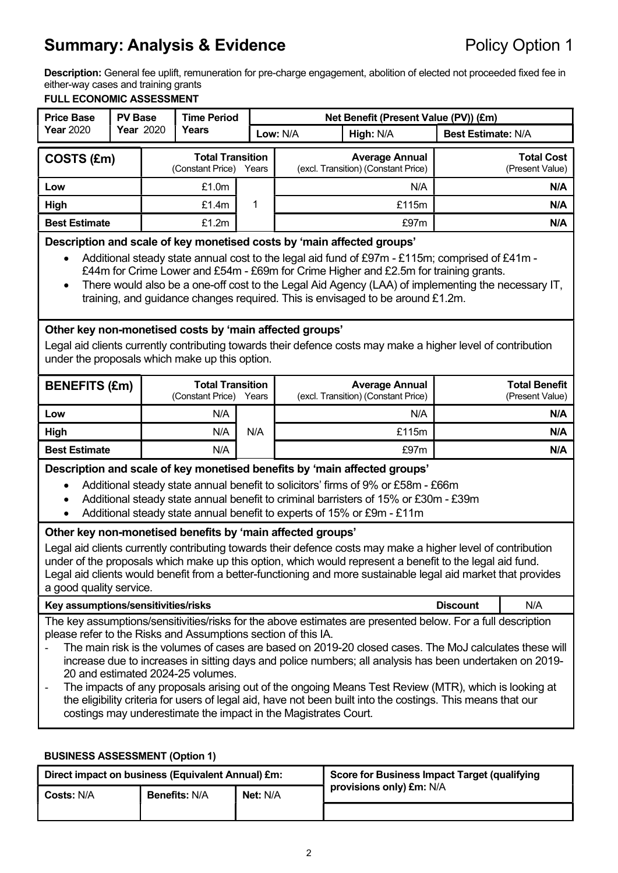## **Summary: Analysis & Evidence** Policy Option 1

Description: General fee uplift, remuneration for pre-charge engagement, abolition of elected not proceeded fixed fee in either-way cases and training grants

#### FULL ECONOMIC ASSESSMENT

| <b>Price Base</b>                                                      |                  | <b>Time Period</b><br><b>PV Base</b> |                                             |          | Net Benefit (Present Value (PV)) (£m)                        |           |                           |  |                                      |
|------------------------------------------------------------------------|------------------|--------------------------------------|---------------------------------------------|----------|--------------------------------------------------------------|-----------|---------------------------|--|--------------------------------------|
| <b>Year 2020</b>                                                       | <b>Year</b> 2020 |                                      | Years                                       | Low: N/A |                                                              | High: N/A | <b>Best Estimate: N/A</b> |  |                                      |
| COSTS (£m)                                                             |                  |                                      | <b>Total Transition</b><br>(Constant Price) | Years    | <b>Average Annual</b><br>(excl. Transition) (Constant Price) |           |                           |  | <b>Total Cost</b><br>(Present Value) |
| Low                                                                    |                  |                                      | £1.0 <sub>m</sub>                           |          |                                                              | N/A       | N/A                       |  |                                      |
| High                                                                   |                  |                                      | £1.4m                                       | 1        |                                                              | £115m     | N/A                       |  |                                      |
| <b>Best Estimate</b>                                                   |                  |                                      | £1.2m                                       |          | £97m                                                         |           | N/A                       |  |                                      |
| Department and peals of key monotional spots by impin offected aroung! |                  |                                      |                                             |          |                                                              |           |                           |  |                                      |

#### Description and scale of key monetised costs by 'main affected groups'

- Additional steady state annual cost to the legal aid fund of £97m £115m; comprised of £41m £44m for Crime Lower and £54m - £69m for Crime Higher and £2.5m for training grants.
- There would also be a one-off cost to the Legal Aid Agency (LAA) of implementing the necessary IT, training, and guidance changes required. This is envisaged to be around £1.2m.

#### Other key non-monetised costs by 'main affected groups'

Legal aid clients currently contributing towards their defence costs may make a higher level of contribution under the proposals which make up this option.

| <b>BENEFITS (£m)</b> | <b>Total Transition</b><br>(Constant Price)<br>Years |     | <b>Average Annual</b><br>(excl. Transition) (Constant Price) | <b>Total Benefit</b><br>(Present Value) |
|----------------------|------------------------------------------------------|-----|--------------------------------------------------------------|-----------------------------------------|
| Low                  | N/A                                                  |     | N/A                                                          | N/A                                     |
| High                 | N/A                                                  | N/A | £115 $m$                                                     | N/A                                     |
| <b>Best Estimate</b> | N/A                                                  |     | £97m                                                         | N/A                                     |

Description and scale of key monetised benefits by 'main affected groups'

- Additional steady state annual benefit to solicitors' firms of 9% or £58m £66m
- Additional steady state annual benefit to criminal barristers of 15% or £30m £39m
- Additional steady state annual benefit to experts of 15% or £9m £11m

#### Other key non-monetised benefits by 'main affected groups'

Legal aid clients currently contributing towards their defence costs may make a higher level of contribution under of the proposals which make up this option, which would represent a benefit to the legal aid fund. Legal aid clients would benefit from a better-functioning and more sustainable legal aid market that provides a good quality service.

| Key assumptions/sensitivities/risks                                                                                   | <b>Discount</b> | N/A |  |  |  |
|-----------------------------------------------------------------------------------------------------------------------|-----------------|-----|--|--|--|
| ▼book book comment constructed alternative from book book control and conservate delayer ■ conservated described book |                 |     |  |  |  |

The key assumptions/sensitivities/risks for the above estimates are presented below. For a full description please refer to the Risks and Assumptions section of this IA.

- The main risk is the volumes of cases are based on 2019-20 closed cases. The MoJ calculates these will increase due to increases in sitting days and police numbers; all analysis has been undertaken on 2019- 20 and estimated 2024-25 volumes.
- The impacts of any proposals arising out of the ongoing Means Test Review (MTR), which is looking at the eligibility criteria for users of legal aid, have not been built into the costings. This means that our costings may underestimate the impact in the Magistrates Court.

#### BUSINESS ASSESSMENT (Option 1)

| Direct impact on business (Equivalent Annual) £m: |                      |          | Score for Business Impact Target (qualifying |
|---------------------------------------------------|----------------------|----------|----------------------------------------------|
| <b>Costs: N/A</b>                                 | <b>Benefits: N/A</b> | Net: N/A | provisions only) £m: N/A                     |
|                                                   |                      |          |                                              |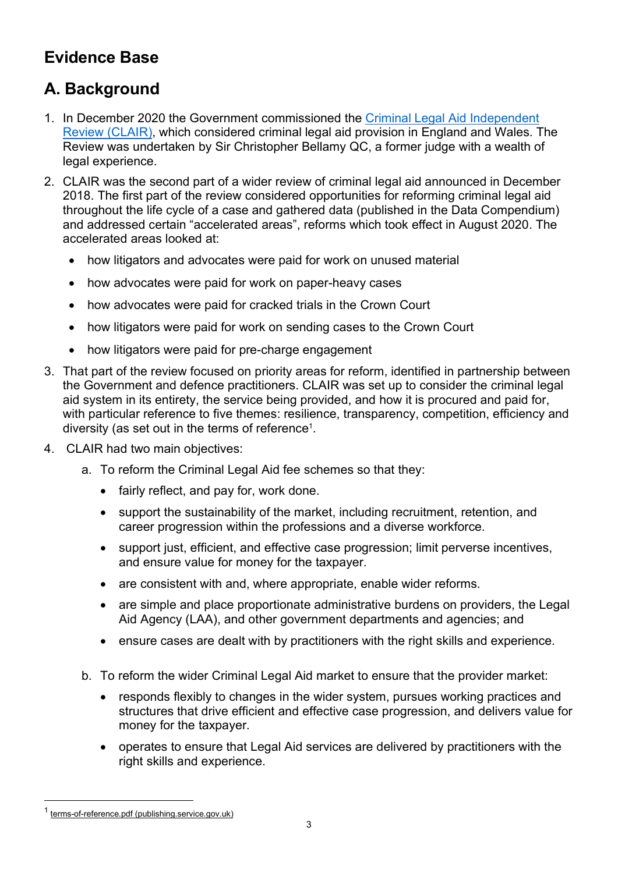## Evidence Base

## A. Background

- 1. In December 2020 the Government commissioned the Criminal Legal Aid Independent Review (CLAIR), which considered criminal legal aid provision in England and Wales. The Review was undertaken by Sir Christopher Bellamy QC, a former judge with a wealth of legal experience.
- 2. CLAIR was the second part of a wider review of criminal legal aid announced in December 2018. The first part of the review considered opportunities for reforming criminal legal aid throughout the life cycle of a case and gathered data (published in the Data Compendium) and addressed certain "accelerated areas", reforms which took effect in August 2020. The accelerated areas looked at:
	- how litigators and advocates were paid for work on unused material
	- how advocates were paid for work on paper-heavy cases
	- how advocates were paid for cracked trials in the Crown Court
	- how litigators were paid for work on sending cases to the Crown Court
	- how litigators were paid for pre-charge engagement
- 3. That part of the review focused on priority areas for reform, identified in partnership between the Government and defence practitioners. CLAIR was set up to consider the criminal legal aid system in its entirety, the service being provided, and how it is procured and paid for, with particular reference to five themes: resilience, transparency, competition, efficiency and diversity (as set out in the terms of reference<sup>1</sup>.
- 4. CLAIR had two main objectives:
	- a. To reform the Criminal Legal Aid fee schemes so that they:
		- fairly reflect, and pay for, work done.
		- support the sustainability of the market, including recruitment, retention, and career progression within the professions and a diverse workforce.
		- support just, efficient, and effective case progression; limit perverse incentives, and ensure value for money for the taxpayer.
		- are consistent with and, where appropriate, enable wider reforms.
		- are simple and place proportionate administrative burdens on providers, the Legal Aid Agency (LAA), and other government departments and agencies; and
		- ensure cases are dealt with by practitioners with the right skills and experience.
	- b. To reform the wider Criminal Legal Aid market to ensure that the provider market:
		- responds flexibly to changes in the wider system, pursues working practices and structures that drive efficient and effective case progression, and delivers value for money for the taxpayer.
		- operates to ensure that Legal Aid services are delivered by practitioners with the right skills and experience.

<sup>&</sup>lt;sup>1</sup> terms-of-reference.pdf (publishing.service.gov.uk)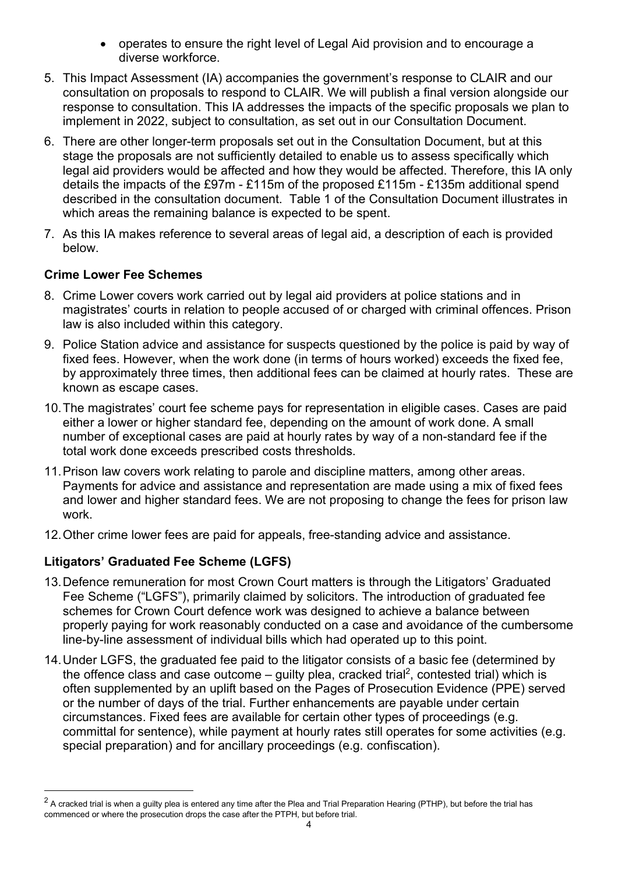- operates to ensure the right level of Legal Aid provision and to encourage a diverse workforce.
- 5. This Impact Assessment (IA) accompanies the government's response to CLAIR and our consultation on proposals to respond to CLAIR. We will publish a final version alongside our response to consultation. This IA addresses the impacts of the specific proposals we plan to implement in 2022, subject to consultation, as set out in our Consultation Document.
- 6. There are other longer-term proposals set out in the Consultation Document, but at this stage the proposals are not sufficiently detailed to enable us to assess specifically which legal aid providers would be affected and how they would be affected. Therefore, this IA only details the impacts of the £97m - £115m of the proposed £115m - £135m additional spend described in the consultation document. Table 1 of the Consultation Document illustrates in which areas the remaining balance is expected to be spent.
- 7. As this IA makes reference to several areas of legal aid, a description of each is provided below.

### Crime Lower Fee Schemes

- 8. Crime Lower covers work carried out by legal aid providers at police stations and in magistrates' courts in relation to people accused of or charged with criminal offences. Prison law is also included within this category.
- 9. Police Station advice and assistance for suspects questioned by the police is paid by way of fixed fees. However, when the work done (in terms of hours worked) exceeds the fixed fee, by approximately three times, then additional fees can be claimed at hourly rates. These are known as escape cases.
- 10. The magistrates' court fee scheme pays for representation in eligible cases. Cases are paid either a lower or higher standard fee, depending on the amount of work done. A small number of exceptional cases are paid at hourly rates by way of a non-standard fee if the total work done exceeds prescribed costs thresholds.
- 11. Prison law covers work relating to parole and discipline matters, among other areas. Payments for advice and assistance and representation are made using a mix of fixed fees and lower and higher standard fees. We are not proposing to change the fees for prison law work.
- 12. Other crime lower fees are paid for appeals, free-standing advice and assistance.

## Litigators' Graduated Fee Scheme (LGFS)

- 13. Defence remuneration for most Crown Court matters is through the Litigators' Graduated Fee Scheme ("LGFS"), primarily claimed by solicitors. The introduction of graduated fee schemes for Crown Court defence work was designed to achieve a balance between properly paying for work reasonably conducted on a case and avoidance of the cumbersome line-by-line assessment of individual bills which had operated up to this point.
- 14. Under LGFS, the graduated fee paid to the litigator consists of a basic fee (determined by the offence class and case outcome  $-$  guilty plea, cracked trial<sup>2</sup>, contested trial) which is often supplemented by an uplift based on the Pages of Prosecution Evidence (PPE) served or the number of days of the trial. Further enhancements are payable under certain circumstances. Fixed fees are available for certain other types of proceedings (e.g. committal for sentence), while payment at hourly rates still operates for some activities (e.g. special preparation) and for ancillary proceedings (e.g. confiscation).

 $^2$  A cracked trial is when a guilty plea is entered any time after the Plea and Trial Preparation Hearing (PTHP), but before the trial has commenced or where the prosecution drops the case after the PTPH, but before trial.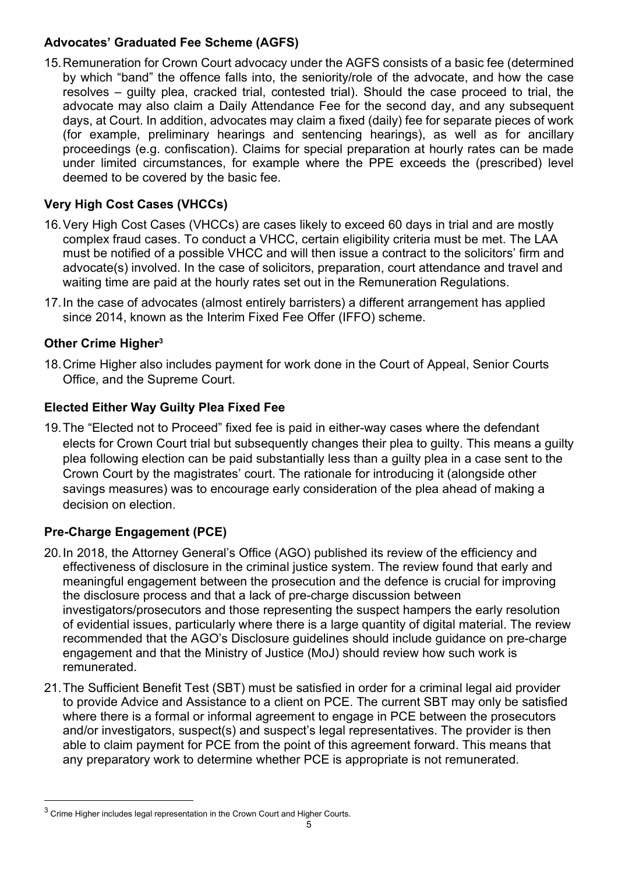## Advocates' Graduated Fee Scheme (AGFS)

15. Remuneration for Crown Court advocacy under the AGFS consists of a basic fee (determined by which "band" the offence falls into, the seniority/role of the advocate, and how the case resolves – guilty plea, cracked trial, contested trial). Should the case proceed to trial, the advocate may also claim a Daily Attendance Fee for the second day, and any subsequent days, at Court. In addition, advocates may claim a fixed (daily) fee for separate pieces of work (for example, preliminary hearings and sentencing hearings), as well as for ancillary proceedings (e.g. confiscation). Claims for special preparation at hourly rates can be made under limited circumstances, for example where the PPE exceeds the (prescribed) level deemed to be covered by the basic fee.

## Very High Cost Cases (VHCCs)

- 16. Very High Cost Cases (VHCCs) are cases likely to exceed 60 days in trial and are mostly complex fraud cases. To conduct a VHCC, certain eligibility criteria must be met. The LAA must be notified of a possible VHCC and will then issue a contract to the solicitors' firm and advocate(s) involved. In the case of solicitors, preparation, court attendance and travel and waiting time are paid at the hourly rates set out in the Remuneration Regulations.
- 17. In the case of advocates (almost entirely barristers) a different arrangement has applied since 2014, known as the Interim Fixed Fee Offer (IFFO) scheme.

## Other Crime Higher<sup>3</sup>

18. Crime Higher also includes payment for work done in the Court of Appeal, Senior Courts Office, and the Supreme Court.

## Elected Either Way Guilty Plea Fixed Fee

19. The "Elected not to Proceed" fixed fee is paid in either-way cases where the defendant elects for Crown Court trial but subsequently changes their plea to guilty. This means a guilty plea following election can be paid substantially less than a guilty plea in a case sent to the Crown Court by the magistrates' court. The rationale for introducing it (alongside other savings measures) was to encourage early consideration of the plea ahead of making a decision on election.

## Pre-Charge Engagement (PCE)

- 20. In 2018, the Attorney General's Office (AGO) published its review of the efficiency and effectiveness of disclosure in the criminal justice system. The review found that early and meaningful engagement between the prosecution and the defence is crucial for improving the disclosure process and that a lack of pre-charge discussion between investigators/prosecutors and those representing the suspect hampers the early resolution of evidential issues, particularly where there is a large quantity of digital material. The review recommended that the AGO's Disclosure guidelines should include guidance on pre-charge engagement and that the Ministry of Justice (MoJ) should review how such work is remunerated.
- 21. The Sufficient Benefit Test (SBT) must be satisfied in order for a criminal legal aid provider to provide Advice and Assistance to a client on PCE. The current SBT may only be satisfied where there is a formal or informal agreement to engage in PCE between the prosecutors and/or investigators, suspect(s) and suspect's legal representatives. The provider is then able to claim payment for PCE from the point of this agreement forward. This means that any preparatory work to determine whether PCE is appropriate is not remunerated.

 $^3$  Crime Higher includes legal representation in the Crown Court and Higher Courts.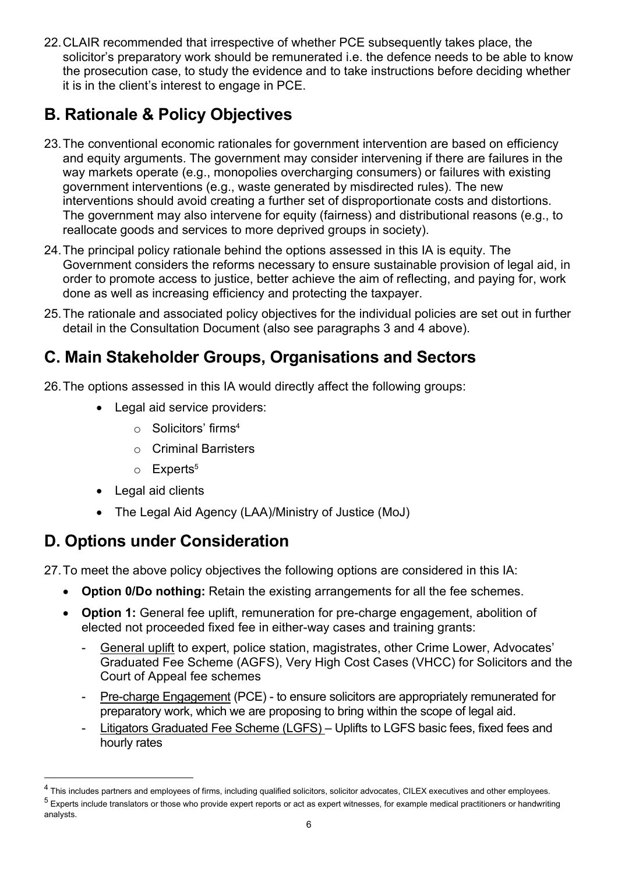22. CLAIR recommended that irrespective of whether PCE subsequently takes place, the solicitor's preparatory work should be remunerated i.e. the defence needs to be able to know the prosecution case, to study the evidence and to take instructions before deciding whether it is in the client's interest to engage in PCE.

# B. Rationale & Policy Objectives

- 23. The conventional economic rationales for government intervention are based on efficiency and equity arguments. The government may consider intervening if there are failures in the way markets operate (e.g., monopolies overcharging consumers) or failures with existing government interventions (e.g., waste generated by misdirected rules). The new interventions should avoid creating a further set of disproportionate costs and distortions. The government may also intervene for equity (fairness) and distributional reasons (e.g., to reallocate goods and services to more deprived groups in society).
- 24. The principal policy rationale behind the options assessed in this IA is equity. The Government considers the reforms necessary to ensure sustainable provision of legal aid, in order to promote access to justice, better achieve the aim of reflecting, and paying for, work done as well as increasing efficiency and protecting the taxpayer.
- 25. The rationale and associated policy objectives for the individual policies are set out in further detail in the Consultation Document (also see paragraphs 3 and 4 above).

## C. Main Stakeholder Groups, Organisations and Sectors

- 26. The options assessed in this IA would directly affect the following groups:
	- Legal aid service providers:
		- o Solicitors' firms<sup>4</sup>
		- o Criminal Barristers
		- $\circ$  Experts<sup>5</sup>
	- Legal aid clients
	- The Legal Aid Agency (LAA)/Ministry of Justice (MoJ)

## D. Options under Consideration

27. To meet the above policy objectives the following options are considered in this IA:

- Option 0/Do nothing: Retain the existing arrangements for all the fee schemes.
- Option 1: General fee uplift, remuneration for pre-charge engagement, abolition of elected not proceeded fixed fee in either-way cases and training grants:
	- General uplift to expert, police station, magistrates, other Crime Lower, Advocates' Graduated Fee Scheme (AGFS), Very High Cost Cases (VHCC) for Solicitors and the Court of Appeal fee schemes
	- Pre-charge Engagement (PCE) to ensure solicitors are appropriately remunerated for preparatory work, which we are proposing to bring within the scope of legal aid.
	- Litigators Graduated Fee Scheme (LGFS) Uplifts to LGFS basic fees, fixed fees and hourly rates

 $^4$  This includes partners and employees of firms, including qualified solicitors, solicitor advocates, CILEX executives and other employees.  $^5$  Experts include translators or those who provide expert reports or act as expert witnesses, for example medical practitioners or handwriting analysts.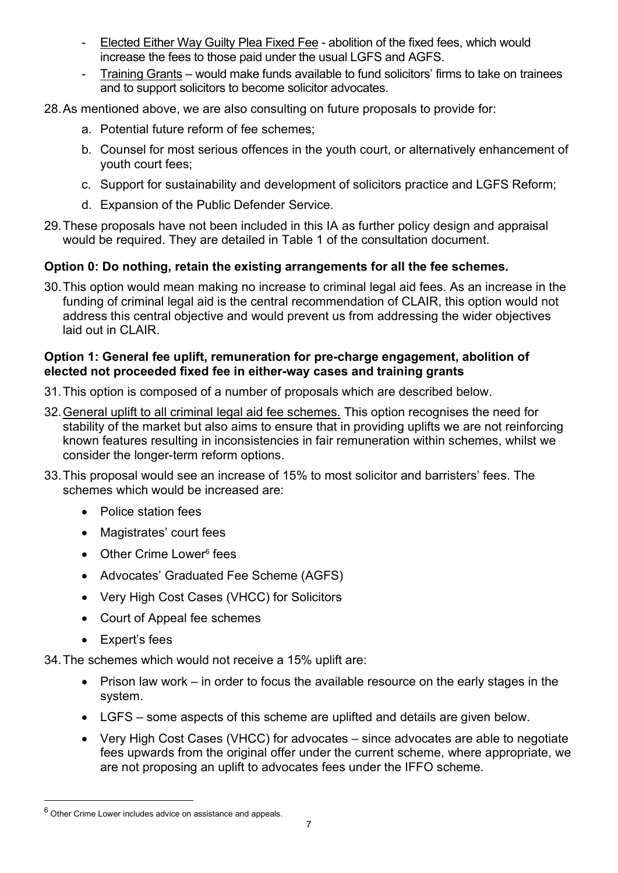- Elected Either Way Guilty Plea Fixed Fee abolition of the fixed fees, which would increase the fees to those paid under the usual LGFS and AGFS.
- Training Grants would make funds available to fund solicitors' firms to take on trainees and to support solicitors to become solicitor advocates.
- 28. As mentioned above, we are also consulting on future proposals to provide for:
	- a. Potential future reform of fee schemes;
	- b. Counsel for most serious offences in the youth court, or alternatively enhancement of youth court fees;
	- c. Support for sustainability and development of solicitors practice and LGFS Reform;
	- d. Expansion of the Public Defender Service.
- 29. These proposals have not been included in this IA as further policy design and appraisal would be required. They are detailed in Table 1 of the consultation document.

## Option 0: Do nothing, retain the existing arrangements for all the fee schemes.

30. This option would mean making no increase to criminal legal aid fees. As an increase in the funding of criminal legal aid is the central recommendation of CLAIR, this option would not address this central objective and would prevent us from addressing the wider objectives laid out in CLAIR.

#### Option 1: General fee uplift, remuneration for pre-charge engagement, abolition of elected not proceeded fixed fee in either-way cases and training grants

- 31. This option is composed of a number of proposals which are described below.
- 32. General uplift to all criminal legal aid fee schemes. This option recognises the need for stability of the market but also aims to ensure that in providing uplifts we are not reinforcing known features resulting in inconsistencies in fair remuneration within schemes, whilst we consider the longer-term reform options.
- 33. This proposal would see an increase of 15% to most solicitor and barristers' fees. The schemes which would be increased are:
	- Police station fees
	- Magistrates' court fees
	- Other Crime Lower<sup>6</sup> fees
	- Advocates' Graduated Fee Scheme (AGFS)
	- Very High Cost Cases (VHCC) for Solicitors
	- Court of Appeal fee schemes
	- Expert's fees

34. The schemes which would not receive a 15% uplift are:

- Prison law work in order to focus the available resource on the early stages in the system.
- LGFS some aspects of this scheme are uplifted and details are given below.
- Very High Cost Cases (VHCC) for advocates since advocates are able to negotiate fees upwards from the original offer under the current scheme, where appropriate, we are not proposing an uplift to advocates fees under the IFFO scheme.

 $^6$  Other Crime Lower includes advice on assistance and appeals.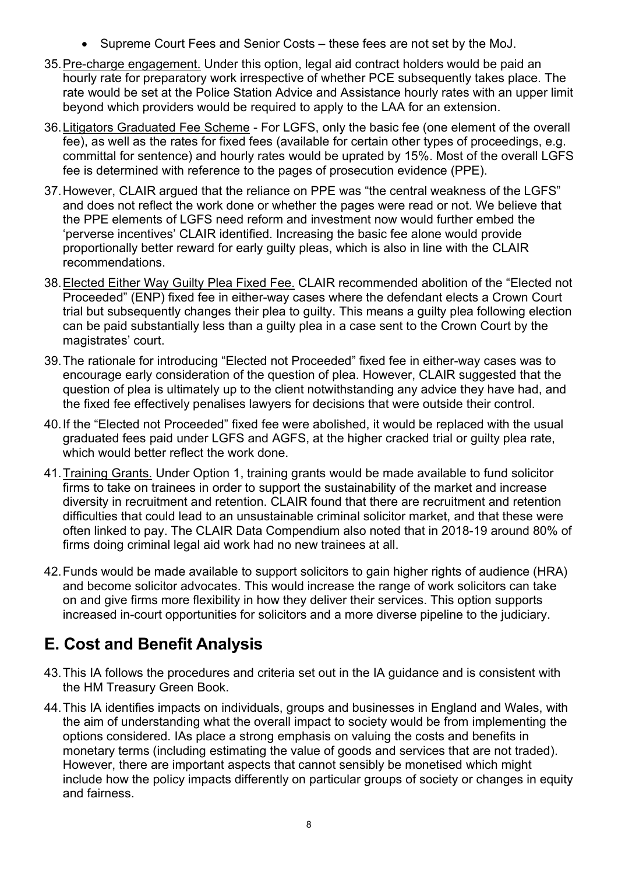- Supreme Court Fees and Senior Costs these fees are not set by the MoJ.
- 35. Pre-charge engagement. Under this option, legal aid contract holders would be paid an hourly rate for preparatory work irrespective of whether PCE subsequently takes place. The rate would be set at the Police Station Advice and Assistance hourly rates with an upper limit beyond which providers would be required to apply to the LAA for an extension.
- 36. Litigators Graduated Fee Scheme For LGFS, only the basic fee (one element of the overall fee), as well as the rates for fixed fees (available for certain other types of proceedings, e.g. committal for sentence) and hourly rates would be uprated by 15%. Most of the overall LGFS fee is determined with reference to the pages of prosecution evidence (PPE).
- 37. However, CLAIR argued that the reliance on PPE was "the central weakness of the LGFS" and does not reflect the work done or whether the pages were read or not. We believe that the PPE elements of LGFS need reform and investment now would further embed the 'perverse incentives' CLAIR identified. Increasing the basic fee alone would provide proportionally better reward for early guilty pleas, which is also in line with the CLAIR recommendations.
- 38. Elected Either Way Guilty Plea Fixed Fee. CLAIR recommended abolition of the "Elected not Proceeded" (ENP) fixed fee in either-way cases where the defendant elects a Crown Court trial but subsequently changes their plea to guilty. This means a guilty plea following election can be paid substantially less than a guilty plea in a case sent to the Crown Court by the magistrates' court.
- 39. The rationale for introducing "Elected not Proceeded" fixed fee in either-way cases was to encourage early consideration of the question of plea. However, CLAIR suggested that the question of plea is ultimately up to the client notwithstanding any advice they have had, and the fixed fee effectively penalises lawyers for decisions that were outside their control.
- 40. If the "Elected not Proceeded" fixed fee were abolished, it would be replaced with the usual graduated fees paid under LGFS and AGFS, at the higher cracked trial or guilty plea rate, which would better reflect the work done.
- 41. Training Grants. Under Option 1, training grants would be made available to fund solicitor firms to take on trainees in order to support the sustainability of the market and increase diversity in recruitment and retention. CLAIR found that there are recruitment and retention difficulties that could lead to an unsustainable criminal solicitor market, and that these were often linked to pay. The CLAIR Data Compendium also noted that in 2018-19 around 80% of firms doing criminal legal aid work had no new trainees at all.
- 42. Funds would be made available to support solicitors to gain higher rights of audience (HRA) and become solicitor advocates. This would increase the range of work solicitors can take on and give firms more flexibility in how they deliver their services. This option supports increased in-court opportunities for solicitors and a more diverse pipeline to the judiciary.

# E. Cost and Benefit Analysis

- 43. This IA follows the procedures and criteria set out in the IA guidance and is consistent with the HM Treasury Green Book.
- 44. This IA identifies impacts on individuals, groups and businesses in England and Wales, with the aim of understanding what the overall impact to society would be from implementing the options considered. IAs place a strong emphasis on valuing the costs and benefits in monetary terms (including estimating the value of goods and services that are not traded). However, there are important aspects that cannot sensibly be monetised which might include how the policy impacts differently on particular groups of society or changes in equity and fairness.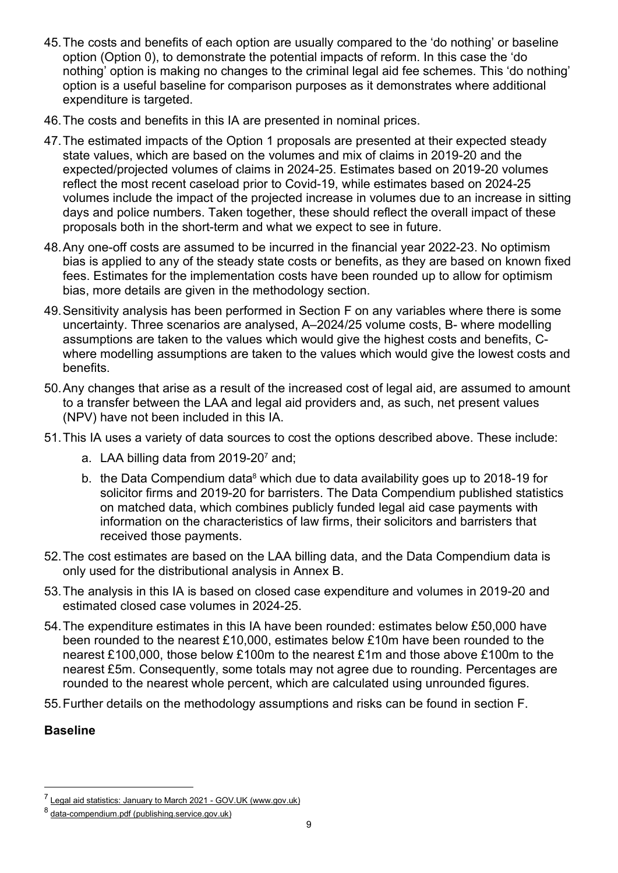- 45. The costs and benefits of each option are usually compared to the 'do nothing' or baseline option (Option 0), to demonstrate the potential impacts of reform. In this case the 'do nothing' option is making no changes to the criminal legal aid fee schemes. This 'do nothing' option is a useful baseline for comparison purposes as it demonstrates where additional expenditure is targeted.
- 46. The costs and benefits in this IA are presented in nominal prices.
- 47. The estimated impacts of the Option 1 proposals are presented at their expected steady state values, which are based on the volumes and mix of claims in 2019-20 and the expected/projected volumes of claims in 2024-25. Estimates based on 2019-20 volumes reflect the most recent caseload prior to Covid-19, while estimates based on 2024-25 volumes include the impact of the projected increase in volumes due to an increase in sitting days and police numbers. Taken together, these should reflect the overall impact of these proposals both in the short-term and what we expect to see in future.
- 48. Any one-off costs are assumed to be incurred in the financial year 2022-23. No optimism bias is applied to any of the steady state costs or benefits, as they are based on known fixed fees. Estimates for the implementation costs have been rounded up to allow for optimism bias, more details are given in the methodology section.
- 49. Sensitivity analysis has been performed in Section F on any variables where there is some uncertainty. Three scenarios are analysed, A–2024/25 volume costs, B- where modelling assumptions are taken to the values which would give the highest costs and benefits, Cwhere modelling assumptions are taken to the values which would give the lowest costs and benefits.
- 50. Any changes that arise as a result of the increased cost of legal aid, are assumed to amount to a transfer between the LAA and legal aid providers and, as such, net present values (NPV) have not been included in this IA.
- 51. This IA uses a variety of data sources to cost the options described above. These include:
	- a. LAA billing data from 2019-20<sup>7</sup> and;
	- b. the Data Compendium data<sup>8</sup> which due to data availability goes up to 2018-19 for solicitor firms and 2019-20 for barristers. The Data Compendium published statistics on matched data, which combines publicly funded legal aid case payments with information on the characteristics of law firms, their solicitors and barristers that received those payments.
- 52. The cost estimates are based on the LAA billing data, and the Data Compendium data is only used for the distributional analysis in Annex B.
- 53. The analysis in this IA is based on closed case expenditure and volumes in 2019-20 and estimated closed case volumes in 2024-25.
- 54. The expenditure estimates in this IA have been rounded: estimates below £50,000 have been rounded to the nearest £10,000, estimates below £10m have been rounded to the nearest £100,000, those below £100m to the nearest £1m and those above £100m to the nearest £5m. Consequently, some totals may not agree due to rounding. Percentages are rounded to the nearest whole percent, which are calculated using unrounded figures.
- 55. Further details on the methodology assumptions and risks can be found in section F.

#### Baseline

<sup>&</sup>lt;sup>7</sup> Legal aid statistics: January to March 2021 - GOV.UK (www.gov.uk)

<sup>8</sup> data-compendium.pdf (publishing.service.gov.uk)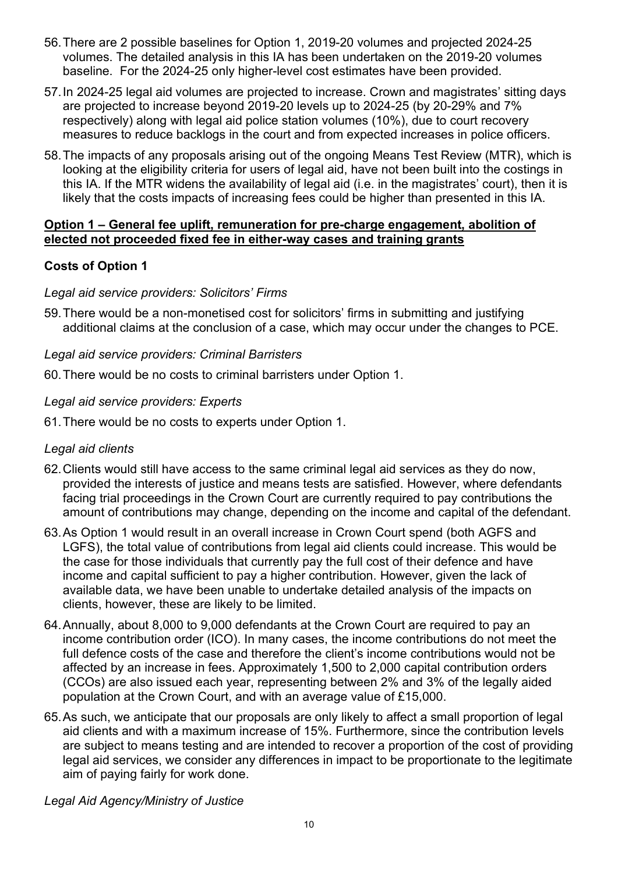- 56. There are 2 possible baselines for Option 1, 2019-20 volumes and projected 2024-25 volumes. The detailed analysis in this IA has been undertaken on the 2019-20 volumes baseline. For the 2024-25 only higher-level cost estimates have been provided.
- 57. In 2024-25 legal aid volumes are projected to increase. Crown and magistrates' sitting days are projected to increase beyond 2019-20 levels up to 2024-25 (by 20-29% and 7% respectively) along with legal aid police station volumes (10%), due to court recovery measures to reduce backlogs in the court and from expected increases in police officers.
- 58. The impacts of any proposals arising out of the ongoing Means Test Review (MTR), which is looking at the eligibility criteria for users of legal aid, have not been built into the costings in this IA. If the MTR widens the availability of legal aid (i.e. in the magistrates' court), then it is likely that the costs impacts of increasing fees could be higher than presented in this IA.

#### Option 1 – General fee uplift, remuneration for pre-charge engagement, abolition of elected not proceeded fixed fee in either-way cases and training grants

## Costs of Option 1

### Legal aid service providers: Solicitors' Firms

59. There would be a non-monetised cost for solicitors' firms in submitting and justifying additional claims at the conclusion of a case, which may occur under the changes to PCE.

### Legal aid service providers: Criminal Barristers

60. There would be no costs to criminal barristers under Option 1.

### Legal aid service providers: Experts

61. There would be no costs to experts under Option 1.

## Legal aid clients

- 62. Clients would still have access to the same criminal legal aid services as they do now, provided the interests of justice and means tests are satisfied. However, where defendants facing trial proceedings in the Crown Court are currently required to pay contributions the amount of contributions may change, depending on the income and capital of the defendant.
- 63. As Option 1 would result in an overall increase in Crown Court spend (both AGFS and LGFS), the total value of contributions from legal aid clients could increase. This would be the case for those individuals that currently pay the full cost of their defence and have income and capital sufficient to pay a higher contribution. However, given the lack of available data, we have been unable to undertake detailed analysis of the impacts on clients, however, these are likely to be limited.
- 64. Annually, about 8,000 to 9,000 defendants at the Crown Court are required to pay an income contribution order (ICO). In many cases, the income contributions do not meet the full defence costs of the case and therefore the client's income contributions would not be affected by an increase in fees. Approximately 1,500 to 2,000 capital contribution orders (CCOs) are also issued each year, representing between 2% and 3% of the legally aided population at the Crown Court, and with an average value of £15,000.
- 65. As such, we anticipate that our proposals are only likely to affect a small proportion of legal aid clients and with a maximum increase of 15%. Furthermore, since the contribution levels are subject to means testing and are intended to recover a proportion of the cost of providing legal aid services, we consider any differences in impact to be proportionate to the legitimate aim of paying fairly for work done.

#### Legal Aid Agency/Ministry of Justice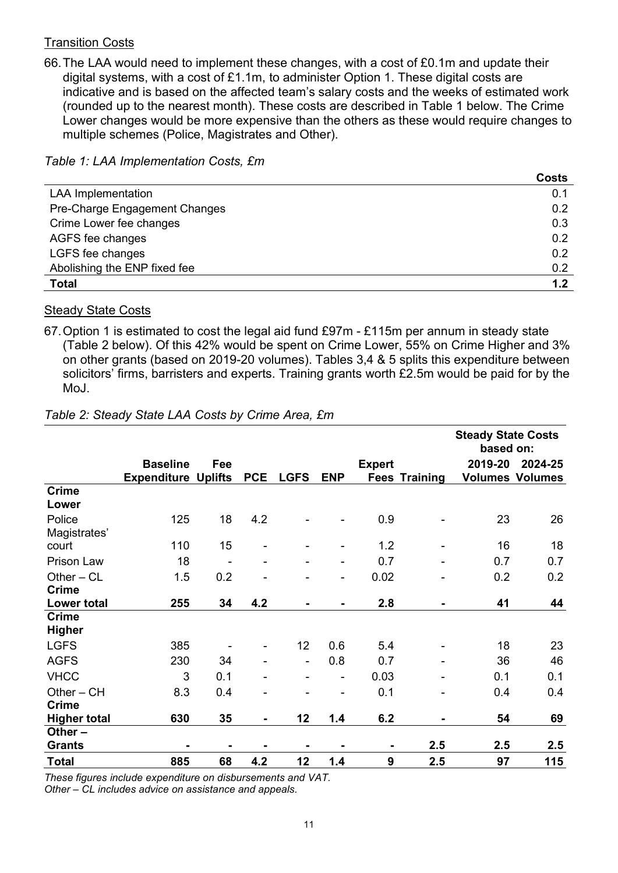#### Transition Costs

66. The LAA would need to implement these changes, with a cost of £0.1m and update their digital systems, with a cost of £1.1m, to administer Option 1. These digital costs are indicative and is based on the affected team's salary costs and the weeks of estimated work (rounded up to the nearest month). These costs are described in Table 1 below. The Crime Lower changes would be more expensive than the others as these would require changes to multiple schemes (Police, Magistrates and Other).

Table 1: LAA Implementation Costs, £m

|                               | <b>Costs</b> |
|-------------------------------|--------------|
| <b>LAA Implementation</b>     | 0.1          |
| Pre-Charge Engagement Changes | 0.2          |
| Crime Lower fee changes       | 0.3          |
| AGFS fee changes              | 0.2          |
| LGFS fee changes              | 0.2          |
| Abolishing the ENP fixed fee  | 0.2          |
| <b>Total</b>                  | 1.2          |

#### Steady State Costs

67. Option 1 is estimated to cost the legal aid fund £97m - £115m per annum in steady state (Table 2 below). Of this 42% would be spent on Crime Lower, 55% on Crime Higher and 3% on other grants (based on 2019-20 volumes). Tables 3,4 & 5 splits this expenditure between solicitors' firms, barristers and experts. Training grants worth £2.5m would be paid for by the MoJ.

|                               |                                               |     |                |                 |                |               |                      | <b>Steady State Costs</b><br>based on: |                                   |
|-------------------------------|-----------------------------------------------|-----|----------------|-----------------|----------------|---------------|----------------------|----------------------------------------|-----------------------------------|
|                               | <b>Baseline</b><br><b>Expenditure Uplifts</b> | Fee | <b>PCE</b>     | <b>LGFS</b>     | <b>ENP</b>     | <b>Expert</b> | <b>Fees Training</b> | 2019-20                                | 2024-25<br><b>Volumes Volumes</b> |
| <b>Crime</b><br>Lower         |                                               |     |                |                 |                |               |                      |                                        |                                   |
| Police<br>Magistrates'        | 125                                           | 18  | 4.2            |                 |                | 0.9           |                      | 23                                     | 26                                |
| court                         | 110                                           | 15  |                |                 |                | 1.2           | ۰                    | 16                                     | 18                                |
| Prison Law                    | 18                                            |     |                |                 |                | 0.7           |                      | 0.7                                    | 0.7                               |
| Other $-CL$<br><b>Crime</b>   | 1.5                                           | 0.2 |                |                 |                | 0.02          |                      | 0.2                                    | 0.2                               |
| <b>Lower total</b>            | 255                                           | 34  | 4.2            |                 |                | 2.8           |                      | 41                                     | 44                                |
| <b>Crime</b><br><b>Higher</b> |                                               |     |                |                 |                |               |                      |                                        |                                   |
| <b>LGFS</b>                   | 385                                           |     |                | 12 <sub>2</sub> | 0.6            | 5.4           |                      | 18                                     | 23                                |
| <b>AGFS</b>                   | 230                                           | 34  |                | $\blacksquare$  | 0.8            | 0.7           |                      | 36                                     | 46                                |
| <b>VHCC</b>                   | 3                                             | 0.1 |                |                 | $\blacksquare$ | 0.03          |                      | 0.1                                    | 0.1                               |
| $Other - CH$                  | 8.3                                           | 0.4 |                |                 | $\blacksquare$ | 0.1           |                      | 0.4                                    | 0.4                               |
| <b>Crime</b>                  |                                               |     |                |                 |                |               |                      |                                        |                                   |
| <b>Higher total</b>           | 630                                           | 35  | $\blacksquare$ | 12              | 1.4            | 6.2           |                      | 54                                     | 69                                |
| Other $-$<br><b>Grants</b>    |                                               |     |                |                 |                |               | 2.5                  | 2.5                                    | 2.5                               |
| <b>Total</b>                  | 885                                           | 68  | 4.2            | 12              | 1.4            | 9             | 2.5                  | 97                                     | 115                               |

#### Table 2: Steady State LAA Costs by Crime Area, £m

These figures include expenditure on disbursements and VAT.

Other – CL includes advice on assistance and appeals.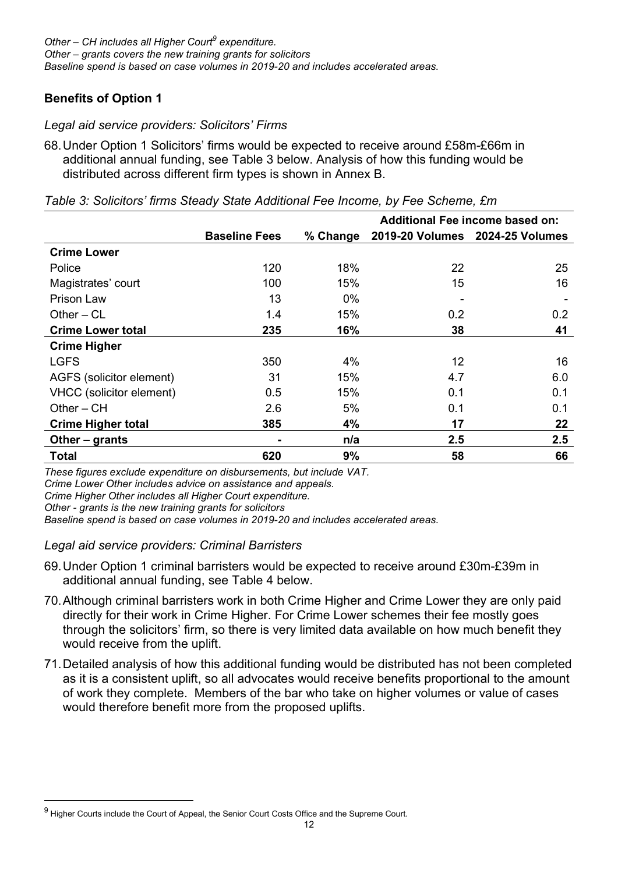### Benefits of Option 1

#### Legal aid service providers: Solicitors' Firms

68. Under Option 1 Solicitors' firms would be expected to receive around £58m-£66m in additional annual funding, see Table 3 below. Analysis of how this funding would be distributed across different firm types is shown in Annex B.

|                           |                      |          | <b>Additional Fee income based on:</b> |                                 |  |
|---------------------------|----------------------|----------|----------------------------------------|---------------------------------|--|
|                           | <b>Baseline Fees</b> | % Change |                                        | 2019-20 Volumes 2024-25 Volumes |  |
| <b>Crime Lower</b>        |                      |          |                                        |                                 |  |
| Police                    | 120                  | 18%      | 22                                     | 25                              |  |
| Magistrates' court        | 100                  | 15%      | 15                                     | 16                              |  |
| Prison Law                | 13                   | $0\%$    |                                        |                                 |  |
| Other $-CL$               | 1.4                  | 15%      | 0.2                                    | 0.2                             |  |
| <b>Crime Lower total</b>  | 235                  | 16%      | 38                                     | 41                              |  |
| <b>Crime Higher</b>       |                      |          |                                        |                                 |  |
| <b>LGFS</b>               | 350                  | 4%       | 12                                     | 16                              |  |
| AGFS (solicitor element)  | 31                   | 15%      | 4.7                                    | 6.0                             |  |
| VHCC (solicitor element)  | 0.5                  | 15%      | 0.1                                    | 0.1                             |  |
| $Other - CH$              | 2.6                  | 5%       | 0.1                                    | 0.1                             |  |
| <b>Crime Higher total</b> | 385                  | 4%       | 17                                     | 22                              |  |
| Other – grants            |                      | n/a      | 2.5                                    | 2.5                             |  |
| <b>Total</b>              | 620                  | 9%       | 58                                     | 66                              |  |

Table 3: Solicitors' firms Steady State Additional Fee Income, by Fee Scheme, £m

These figures exclude expenditure on disbursements, but include VAT.

Crime Lower Other includes advice on assistance and appeals.

Crime Higher Other includes all Higher Court expenditure.

Other - grants is the new training grants for solicitors

Baseline spend is based on case volumes in 2019-20 and includes accelerated areas.

#### Legal aid service providers: Criminal Barristers

- 69. Under Option 1 criminal barristers would be expected to receive around £30m-£39m in additional annual funding, see Table 4 below.
- 70. Although criminal barristers work in both Crime Higher and Crime Lower they are only paid directly for their work in Crime Higher. For Crime Lower schemes their fee mostly goes through the solicitors' firm, so there is very limited data available on how much benefit they would receive from the uplift.
- 71. Detailed analysis of how this additional funding would be distributed has not been completed as it is a consistent uplift, so all advocates would receive benefits proportional to the amount of work they complete. Members of the bar who take on higher volumes or value of cases would therefore benefit more from the proposed uplifts.

 $^9$  Higher Courts include the Court of Appeal, the Senior Court Costs Office and the Supreme Court.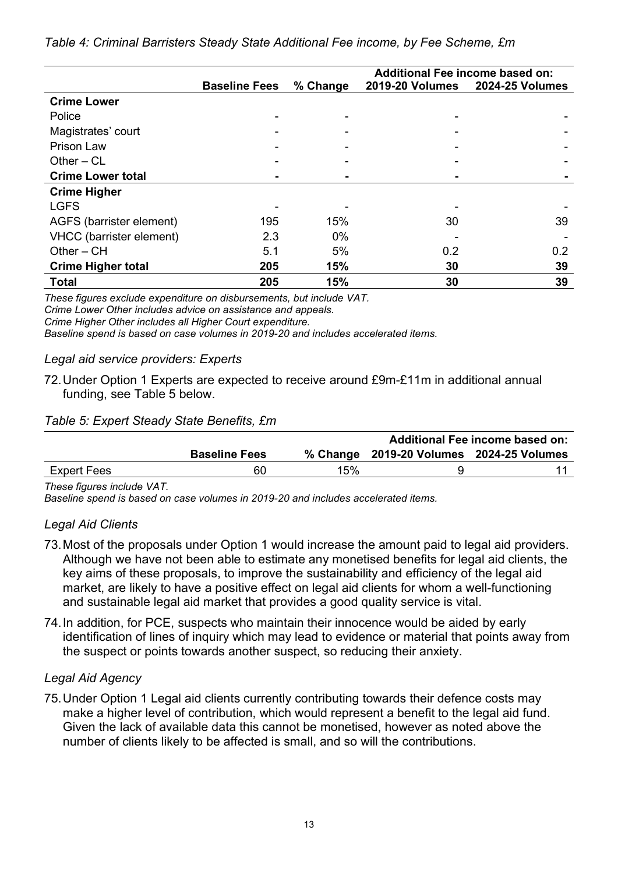|                           |                      |          | Additional Fee income based on: |                        |  |  |
|---------------------------|----------------------|----------|---------------------------------|------------------------|--|--|
|                           | <b>Baseline Fees</b> | % Change | <b>2019-20 Volumes</b>          | <b>2024-25 Volumes</b> |  |  |
| <b>Crime Lower</b>        |                      |          |                                 |                        |  |  |
| Police                    |                      |          |                                 |                        |  |  |
| Magistrates' court        |                      |          |                                 |                        |  |  |
| Prison Law                |                      |          |                                 |                        |  |  |
| Other $-$ CL              |                      |          |                                 |                        |  |  |
| <b>Crime Lower total</b>  |                      |          |                                 |                        |  |  |
| <b>Crime Higher</b>       |                      |          |                                 |                        |  |  |
| <b>LGFS</b>               |                      |          |                                 |                        |  |  |
| AGFS (barrister element)  | 195                  | 15%      | 30                              | 39                     |  |  |
| VHCC (barrister element)  | 2.3                  | $0\%$    |                                 |                        |  |  |
| $Other - CH$              | 5.1                  | 5%       | 0.2                             | 0.2                    |  |  |
| <b>Crime Higher total</b> | 205                  | 15%      | 30                              | 39                     |  |  |
| <b>Total</b>              | 205                  | 15%      | 30                              | 39                     |  |  |

Table 4: Criminal Barristers Steady State Additional Fee income, by Fee Scheme, £m

These figures exclude expenditure on disbursements, but include VAT.

Crime Lower Other includes advice on assistance and appeals.

Crime Higher Other includes all Higher Court expenditure.

Baseline spend is based on case volumes in 2019-20 and includes accelerated items.

## Legal aid service providers: Experts

72. Under Option 1 Experts are expected to receive around £9m-£11m in additional annual funding, see Table 5 below.

## Table 5: Expert Steady State Benefits, £m

|             |                      |     | Additional Fee income based on:          |  |  |  |
|-------------|----------------------|-----|------------------------------------------|--|--|--|
|             | <b>Baseline Fees</b> |     | % Change 2019-20 Volumes 2024-25 Volumes |  |  |  |
| Expert Fees | 60                   | 15% |                                          |  |  |  |

These figures include VAT.

Baseline spend is based on case volumes in 2019-20 and includes accelerated items.

## Legal Aid Clients

- 73. Most of the proposals under Option 1 would increase the amount paid to legal aid providers. Although we have not been able to estimate any monetised benefits for legal aid clients, the key aims of these proposals, to improve the sustainability and efficiency of the legal aid market, are likely to have a positive effect on legal aid clients for whom a well-functioning and sustainable legal aid market that provides a good quality service is vital.
- 74. In addition, for PCE, suspects who maintain their innocence would be aided by early identification of lines of inquiry which may lead to evidence or material that points away from the suspect or points towards another suspect, so reducing their anxiety.

## Legal Aid Agency

75. Under Option 1 Legal aid clients currently contributing towards their defence costs may make a higher level of contribution, which would represent a benefit to the legal aid fund. Given the lack of available data this cannot be monetised, however as noted above the number of clients likely to be affected is small, and so will the contributions.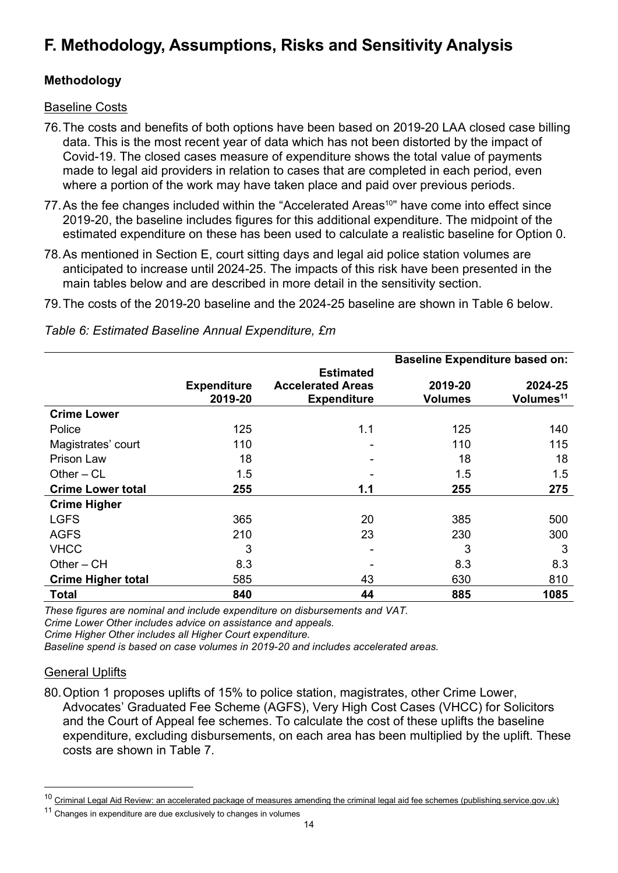# F. Methodology, Assumptions, Risks and Sensitivity Analysis

## Methodology

#### Baseline Costs

- 76. The costs and benefits of both options have been based on 2019-20 LAA closed case billing data. This is the most recent year of data which has not been distorted by the impact of Covid-19. The closed cases measure of expenditure shows the total value of payments made to legal aid providers in relation to cases that are completed in each period, even where a portion of the work may have taken place and paid over previous periods.
- 77. As the fee changes included within the "Accelerated Areas<sup>10</sup>" have come into effect since 2019-20, the baseline includes figures for this additional expenditure. The midpoint of the estimated expenditure on these has been used to calculate a realistic baseline for Option 0.
- 78. As mentioned in Section E, court sitting days and legal aid police station volumes are anticipated to increase until 2024-25. The impacts of this risk have been presented in the main tables below and are described in more detail in the sensitivity section.
- 79. The costs of the 2019-20 baseline and the 2024-25 baseline are shown in Table 6 below.

|                           |                               |                                                                    | <b>Baseline Expenditure based on:</b> |                                  |
|---------------------------|-------------------------------|--------------------------------------------------------------------|---------------------------------------|----------------------------------|
|                           | <b>Expenditure</b><br>2019-20 | <b>Estimated</b><br><b>Accelerated Areas</b><br><b>Expenditure</b> | 2019-20<br><b>Volumes</b>             | 2024-25<br>Volumes <sup>11</sup> |
| <b>Crime Lower</b>        |                               |                                                                    |                                       |                                  |
| Police                    | 125                           | 1.1                                                                | 125                                   | 140                              |
| Magistrates' court        | 110                           |                                                                    | 110                                   | 115                              |
| <b>Prison Law</b>         | 18                            |                                                                    | 18                                    | 18                               |
| Other $-CL$               | 1.5                           |                                                                    | 1.5                                   | 1.5                              |
| <b>Crime Lower total</b>  | 255                           | 1.1                                                                | 255                                   | 275                              |
| <b>Crime Higher</b>       |                               |                                                                    |                                       |                                  |
| <b>LGFS</b>               | 365                           | 20                                                                 | 385                                   | 500                              |
| <b>AGFS</b>               | 210                           | 23                                                                 | 230                                   | 300                              |
| <b>VHCC</b>               | 3                             |                                                                    | 3                                     | 3                                |
| $Other - CH$              | 8.3                           |                                                                    | 8.3                                   | 8.3                              |
| <b>Crime Higher total</b> | 585                           | 43                                                                 | 630                                   | 810                              |
| Total                     | 840                           | 44                                                                 | 885                                   | 1085                             |

Table 6: Estimated Baseline Annual Expenditure, £m

These figures are nominal and include expenditure on disbursements and VAT. Crime Lower Other includes advice on assistance and appeals.

Crime Higher Other includes all Higher Court expenditure.

Baseline spend is based on case volumes in 2019-20 and includes accelerated areas.

#### General Uplifts

80. Option 1 proposes uplifts of 15% to police station, magistrates, other Crime Lower, Advocates' Graduated Fee Scheme (AGFS), Very High Cost Cases (VHCC) for Solicitors and the Court of Appeal fee schemes. To calculate the cost of these uplifts the baseline expenditure, excluding disbursements, on each area has been multiplied by the uplift. These costs are shown in Table 7.

<sup>&</sup>lt;sup>10</sup> Criminal Legal Aid Review: an accelerated package of measures amending the criminal legal aid fee schemes (publishing.service.gov.uk)

 $11$  Changes in expenditure are due exclusively to changes in volumes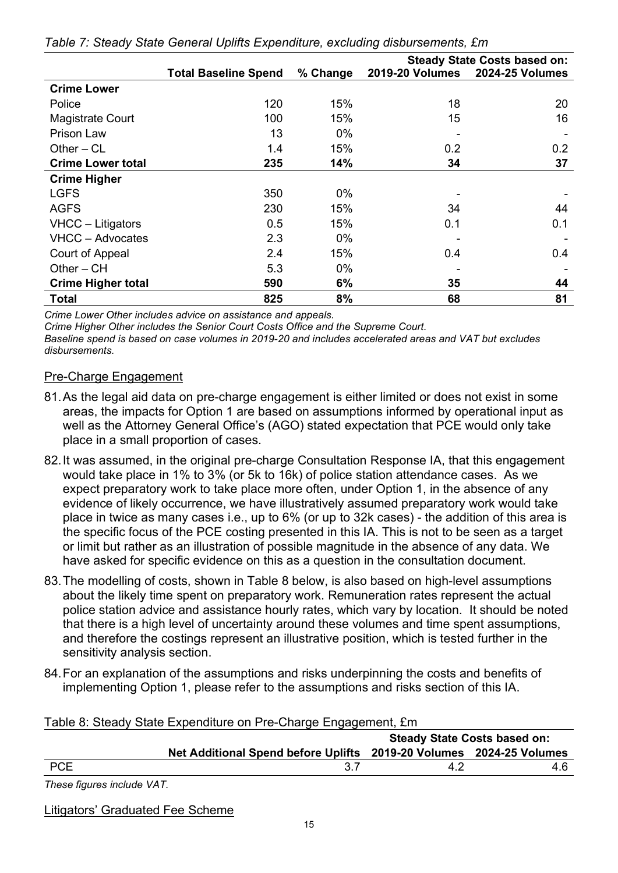|                           | <b>Steady State Costs based on:</b> |          |                        |                        |
|---------------------------|-------------------------------------|----------|------------------------|------------------------|
|                           | <b>Total Baseline Spend</b>         | % Change | <b>2019-20 Volumes</b> | <b>2024-25 Volumes</b> |
| <b>Crime Lower</b>        |                                     |          |                        |                        |
| Police                    | 120                                 | 15%      | 18                     | 20                     |
| <b>Magistrate Court</b>   | 100                                 | 15%      | 15                     | 16                     |
| Prison Law                | 13                                  | $0\%$    | ۰                      |                        |
| Other $-CL$               | 1.4                                 | 15%      | 0.2                    | 0.2                    |
| <b>Crime Lower total</b>  | 235                                 | 14%      | 34                     | 37                     |
| <b>Crime Higher</b>       |                                     |          |                        |                        |
| <b>LGFS</b>               | 350                                 | $0\%$    |                        |                        |
| <b>AGFS</b>               | 230                                 | 15%      | 34                     | 44                     |
| VHCC - Litigators         | 0.5                                 | 15%      | 0.1                    | 0.1                    |
| VHCC - Advocates          | 2.3                                 | $0\%$    |                        |                        |
| Court of Appeal           | 2.4                                 | 15%      | 0.4                    | 0.4                    |
| $Other - CH$              | 5.3                                 | $0\%$    |                        |                        |
| <b>Crime Higher total</b> | 590                                 | 6%       | 35                     | 44                     |
| <b>Total</b>              | 825                                 | 8%       | 68                     | 81                     |

|  | Table 7: Steady State General Uplifts Expenditure, excluding disbursements, £m |  |
|--|--------------------------------------------------------------------------------|--|
|  |                                                                                |  |

Crime Lower Other includes advice on assistance and appeals.

Crime Higher Other includes the Senior Court Costs Office and the Supreme Court.

Baseline spend is based on case volumes in 2019-20 and includes accelerated areas and VAT but excludes disbursements.

## Pre-Charge Engagement

- 81. As the legal aid data on pre-charge engagement is either limited or does not exist in some areas, the impacts for Option 1 are based on assumptions informed by operational input as well as the Attorney General Office's (AGO) stated expectation that PCE would only take place in a small proportion of cases.
- 82. It was assumed, in the original pre-charge Consultation Response IA, that this engagement would take place in 1% to 3% (or 5k to 16k) of police station attendance cases. As we expect preparatory work to take place more often, under Option 1, in the absence of any evidence of likely occurrence, we have illustratively assumed preparatory work would take place in twice as many cases i.e., up to 6% (or up to 32k cases) - the addition of this area is the specific focus of the PCE costing presented in this IA. This is not to be seen as a target or limit but rather as an illustration of possible magnitude in the absence of any data. We have asked for specific evidence on this as a question in the consultation document.
- 83. The modelling of costs, shown in Table 8 below, is also based on high-level assumptions about the likely time spent on preparatory work. Remuneration rates represent the actual police station advice and assistance hourly rates, which vary by location. It should be noted that there is a high level of uncertainty around these volumes and time spent assumptions, and therefore the costings represent an illustrative position, which is tested further in the sensitivity analysis section.
- 84. For an explanation of the assumptions and risks underpinning the costs and benefits of implementing Option 1, please refer to the assumptions and risks section of this IA.

| <b>Steady State Costs based on:</b> |                                                                     |     |  |  |  |
|-------------------------------------|---------------------------------------------------------------------|-----|--|--|--|
|                                     | Net Additional Spend before Uplifts 2019-20 Volumes 2024-25 Volumes |     |  |  |  |
| <b>PCE</b>                          |                                                                     | 4 D |  |  |  |

Table 8: Steady State Expenditure on Pre-Charge Engagement, £m

These figures include VAT.

Litigators' Graduated Fee Scheme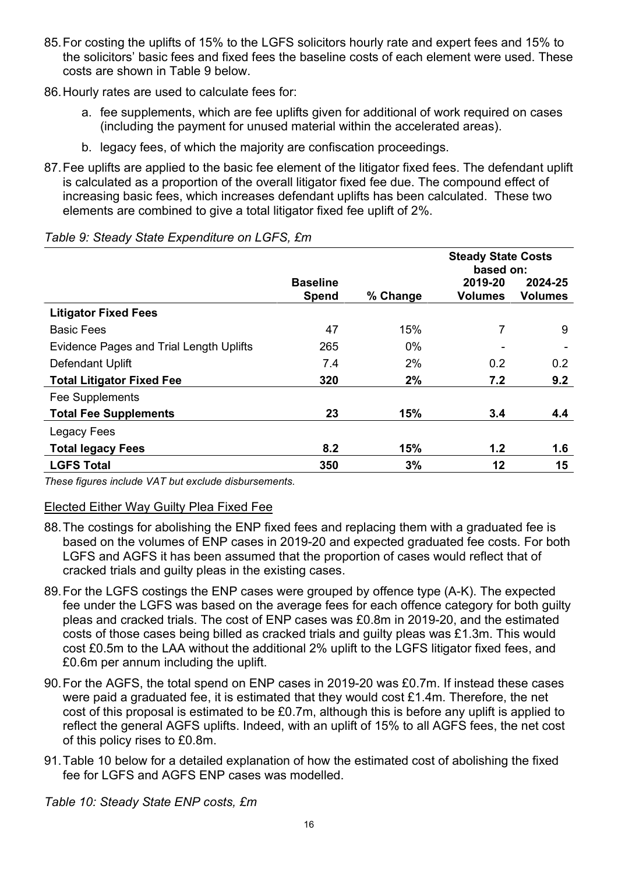- 85. For costing the uplifts of 15% to the LGFS solicitors hourly rate and expert fees and 15% to the solicitors' basic fees and fixed fees the baseline costs of each element were used. These costs are shown in Table 9 below.
- 86. Hourly rates are used to calculate fees for:
	- a. fee supplements, which are fee uplifts given for additional of work required on cases (including the payment for unused material within the accelerated areas).
	- b. legacy fees, of which the majority are confiscation proceedings.
- 87. Fee uplifts are applied to the basic fee element of the litigator fixed fees. The defendant uplift is calculated as a proportion of the overall litigator fixed fee due. The compound effect of increasing basic fees, which increases defendant uplifts has been calculated. These two elements are combined to give a total litigator fixed fee uplift of 2%.

|                                                |                                 |          | <b>Steady State Costs</b><br>based on: |                           |
|------------------------------------------------|---------------------------------|----------|----------------------------------------|---------------------------|
|                                                | <b>Baseline</b><br><b>Spend</b> | % Change | 2019-20<br><b>Volumes</b>              | 2024-25<br><b>Volumes</b> |
| <b>Litigator Fixed Fees</b>                    |                                 |          |                                        |                           |
| <b>Basic Fees</b>                              | 47                              | 15%      | 7                                      | 9                         |
| <b>Evidence Pages and Trial Length Uplifts</b> | 265                             | $0\%$    |                                        |                           |
| Defendant Uplift                               | 7.4                             | 2%       | 0.2                                    | 0.2                       |
| <b>Total Litigator Fixed Fee</b>               | 320                             | 2%       | 7.2                                    | 9.2                       |
| Fee Supplements                                |                                 |          |                                        |                           |
| <b>Total Fee Supplements</b>                   | 23                              | 15%      | 3.4                                    | 4.4                       |
| Legacy Fees                                    |                                 |          |                                        |                           |
| <b>Total legacy Fees</b>                       | 8.2                             | 15%      | 1.2                                    | 1.6                       |
| <b>LGFS Total</b>                              | 350                             | 3%       | 12                                     | 15                        |

#### Table 9: Steady State Expenditure on LGFS, £m

These figures include VAT but exclude disbursements.

#### Elected Either Way Guilty Plea Fixed Fee

- 88. The costings for abolishing the ENP fixed fees and replacing them with a graduated fee is based on the volumes of ENP cases in 2019-20 and expected graduated fee costs. For both LGFS and AGFS it has been assumed that the proportion of cases would reflect that of cracked trials and guilty pleas in the existing cases.
- 89. For the LGFS costings the ENP cases were grouped by offence type (A-K). The expected fee under the LGFS was based on the average fees for each offence category for both guilty pleas and cracked trials. The cost of ENP cases was £0.8m in 2019-20, and the estimated costs of those cases being billed as cracked trials and guilty pleas was £1.3m. This would cost £0.5m to the LAA without the additional 2% uplift to the LGFS litigator fixed fees, and £0.6m per annum including the uplift.
- 90. For the AGFS, the total spend on ENP cases in 2019-20 was £0.7m. If instead these cases were paid a graduated fee, it is estimated that they would cost £1.4m. Therefore, the net cost of this proposal is estimated to be £0.7m, although this is before any uplift is applied to reflect the general AGFS uplifts. Indeed, with an uplift of 15% to all AGFS fees, the net cost of this policy rises to £0.8m.
- 91. Table 10 below for a detailed explanation of how the estimated cost of abolishing the fixed fee for LGFS and AGFS ENP cases was modelled.

Table 10: Steady State ENP costs, £m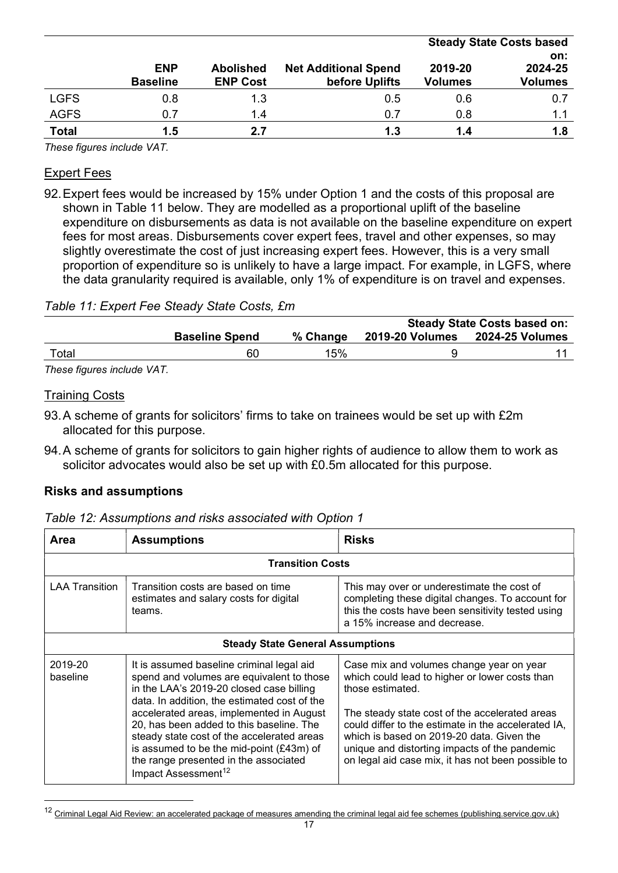|              |                 |                  |                             | <b>Steady State Costs based</b> |                |  |
|--------------|-----------------|------------------|-----------------------------|---------------------------------|----------------|--|
|              |                 |                  |                             |                                 | on:            |  |
|              | <b>ENP</b>      | <b>Abolished</b> | <b>Net Additional Spend</b> | 2019-20                         | 2024-25        |  |
|              | <b>Baseline</b> | <b>ENP Cost</b>  | before Uplifts              | <b>Volumes</b>                  | <b>Volumes</b> |  |
| <b>LGFS</b>  | 0.8             | 1.3              | 0.5                         | 0.6                             | 0.7            |  |
| <b>AGFS</b>  | 0.7             | 1.4              | 0.7                         | 0.8                             | 1.1            |  |
| <b>Total</b> | 1.5             | 2.7              | 1.3                         | 1.4                             | 1.8            |  |

These figures include VAT.

#### Expert Fees

92. Expert fees would be increased by 15% under Option 1 and the costs of this proposal are shown in Table 11 below. They are modelled as a proportional uplift of the baseline expenditure on disbursements as data is not available on the baseline expenditure on expert fees for most areas. Disbursements cover expert fees, travel and other expenses, so may slightly overestimate the cost of just increasing expert fees. However, this is a very small proportion of expenditure so is unlikely to have a large impact. For example, in LGFS, where the data granularity required is available, only 1% of expenditure is on travel and expenses.

#### Table 11: Expert Fee Steady State Costs, £m

|                             |                       |          |                        | <b>Steady State Costs based on:</b> |
|-----------------------------|-----------------------|----------|------------------------|-------------------------------------|
|                             | <b>Baseline Spend</b> | % Change | <b>2019-20 Volumes</b> | <b>2024-25 Volumes</b>              |
| Total                       | 60                    | 15%      |                        |                                     |
| These figures include $VAT$ |                       |          |                        |                                     |

These figures include VAT.

#### Training Costs

- 93. A scheme of grants for solicitors' firms to take on trainees would be set up with £2m allocated for this purpose.
- 94. A scheme of grants for solicitors to gain higher rights of audience to allow them to work as solicitor advocates would also be set up with £0.5m allocated for this purpose.

#### Risks and assumptions

| Table 12: Assumptions and risks associated with Option 1 |  |  |
|----------------------------------------------------------|--|--|
|                                                          |  |  |

| Area                    | <b>Assumptions</b>                                                                                                                                                                                                                                                                                                                                                                                                                               | <b>Risks</b>                                                                                                                                                                                                                                                                                                                                                                |  |  |  |
|-------------------------|--------------------------------------------------------------------------------------------------------------------------------------------------------------------------------------------------------------------------------------------------------------------------------------------------------------------------------------------------------------------------------------------------------------------------------------------------|-----------------------------------------------------------------------------------------------------------------------------------------------------------------------------------------------------------------------------------------------------------------------------------------------------------------------------------------------------------------------------|--|--|--|
| <b>Transition Costs</b> |                                                                                                                                                                                                                                                                                                                                                                                                                                                  |                                                                                                                                                                                                                                                                                                                                                                             |  |  |  |
| <b>LAA Transition</b>   | Transition costs are based on time<br>estimates and salary costs for digital<br>teams.                                                                                                                                                                                                                                                                                                                                                           | This may over or underestimate the cost of<br>completing these digital changes. To account for<br>this the costs have been sensitivity tested using<br>a 15% increase and decrease.                                                                                                                                                                                         |  |  |  |
|                         | <b>Steady State General Assumptions</b>                                                                                                                                                                                                                                                                                                                                                                                                          |                                                                                                                                                                                                                                                                                                                                                                             |  |  |  |
| 2019-20<br>baseline     | It is assumed baseline criminal legal aid<br>spend and volumes are equivalent to those<br>in the LAA's 2019-20 closed case billing<br>data. In addition, the estimated cost of the<br>accelerated areas, implemented in August<br>20, has been added to this baseline. The<br>steady state cost of the accelerated areas<br>is assumed to be the mid-point (£43m) of<br>the range presented in the associated<br>Impact Assessment <sup>12</sup> | Case mix and volumes change year on year<br>which could lead to higher or lower costs than<br>those estimated.<br>The steady state cost of the accelerated areas<br>could differ to the estimate in the accelerated IA,<br>which is based on 2019-20 data. Given the<br>unique and distorting impacts of the pandemic<br>on legal aid case mix, it has not been possible to |  |  |  |

<sup>&</sup>lt;sup>12</sup> Criminal Legal Aid Review: an accelerated package of measures amending the criminal legal aid fee schemes (publishing.service.gov.uk)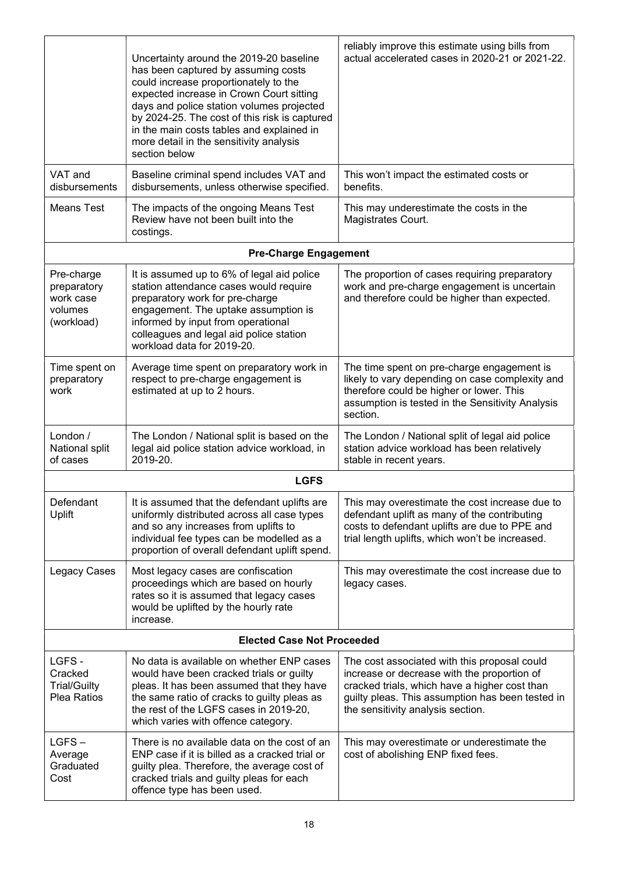|                                                                 | Uncertainty around the 2019-20 baseline<br>has been captured by assuming costs<br>could increase proportionately to the<br>expected increase in Crown Court sitting<br>days and police station volumes projected<br>by 2024-25. The cost of this risk is captured<br>in the main costs tables and explained in<br>more detail in the sensitivity analysis<br>section below | reliably improve this estimate using bills from<br>actual accelerated cases in 2020-21 or 2021-22.                                                                                                                                    |
|-----------------------------------------------------------------|----------------------------------------------------------------------------------------------------------------------------------------------------------------------------------------------------------------------------------------------------------------------------------------------------------------------------------------------------------------------------|---------------------------------------------------------------------------------------------------------------------------------------------------------------------------------------------------------------------------------------|
| VAT and<br>disbursements                                        | Baseline criminal spend includes VAT and<br>disbursements, unless otherwise specified.                                                                                                                                                                                                                                                                                     | This won't impact the estimated costs or<br>benefits.                                                                                                                                                                                 |
| Means Test                                                      | The impacts of the ongoing Means Test<br>Review have not been built into the<br>costings.                                                                                                                                                                                                                                                                                  | This may underestimate the costs in the<br>Magistrates Court.                                                                                                                                                                         |
|                                                                 | <b>Pre-Charge Engagement</b>                                                                                                                                                                                                                                                                                                                                               |                                                                                                                                                                                                                                       |
| Pre-charge<br>preparatory<br>work case<br>volumes<br>(workload) | It is assumed up to 6% of legal aid police<br>station attendance cases would require<br>preparatory work for pre-charge<br>engagement. The uptake assumption is<br>informed by input from operational<br>colleagues and legal aid police station<br>workload data for 2019-20.                                                                                             | The proportion of cases requiring preparatory<br>work and pre-charge engagement is uncertain<br>and therefore could be higher than expected.                                                                                          |
| Time spent on<br>preparatory<br>work                            | Average time spent on preparatory work in<br>respect to pre-charge engagement is<br>estimated at up to 2 hours.                                                                                                                                                                                                                                                            | The time spent on pre-charge engagement is<br>likely to vary depending on case complexity and<br>therefore could be higher or lower. This<br>assumption is tested in the Sensitivity Analysis<br>section.                             |
| London /<br>National split<br>of cases                          | The London / National split is based on the<br>legal aid police station advice workload, in<br>2019-20.                                                                                                                                                                                                                                                                    | The London / National split of legal aid police<br>station advice workload has been relatively<br>stable in recent years.                                                                                                             |
|                                                                 | <b>LGFS</b>                                                                                                                                                                                                                                                                                                                                                                |                                                                                                                                                                                                                                       |
| Defendant<br>Uplift                                             | It is assumed that the defendant uplifts are<br>uniformly distributed across all case types<br>and so any increases from uplifts to<br>individual fee types can be modelled as a<br>proportion of overall defendant uplift spend.                                                                                                                                          | This may overestimate the cost increase due to<br>defendant uplift as many of the contributing<br>costs to defendant uplifts are due to PPE and<br>trial length uplifts, which won't be increased.                                    |
| Legacy Cases                                                    | Most legacy cases are confiscation<br>proceedings which are based on hourly<br>rates so it is assumed that legacy cases<br>would be uplifted by the hourly rate<br>increase.                                                                                                                                                                                               | This may overestimate the cost increase due to<br>legacy cases.                                                                                                                                                                       |
|                                                                 | <b>Elected Case Not Proceeded</b>                                                                                                                                                                                                                                                                                                                                          |                                                                                                                                                                                                                                       |
| LGFS-<br>Cracked<br><b>Trial/Guilty</b><br>Plea Ratios          | No data is available on whether ENP cases<br>would have been cracked trials or guilty<br>pleas. It has been assumed that they have<br>the same ratio of cracks to guilty pleas as<br>the rest of the LGFS cases in 2019-20,<br>which varies with offence category.                                                                                                         | The cost associated with this proposal could<br>increase or decrease with the proportion of<br>cracked trials, which have a higher cost than<br>guilty pleas. This assumption has been tested in<br>the sensitivity analysis section. |
| $LGFS -$<br>Average<br>Graduated<br>Cost                        | There is no available data on the cost of an<br>ENP case if it is billed as a cracked trial or<br>guilty plea. Therefore, the average cost of<br>cracked trials and guilty pleas for each<br>offence type has been used.                                                                                                                                                   | This may overestimate or underestimate the<br>cost of abolishing ENP fixed fees.                                                                                                                                                      |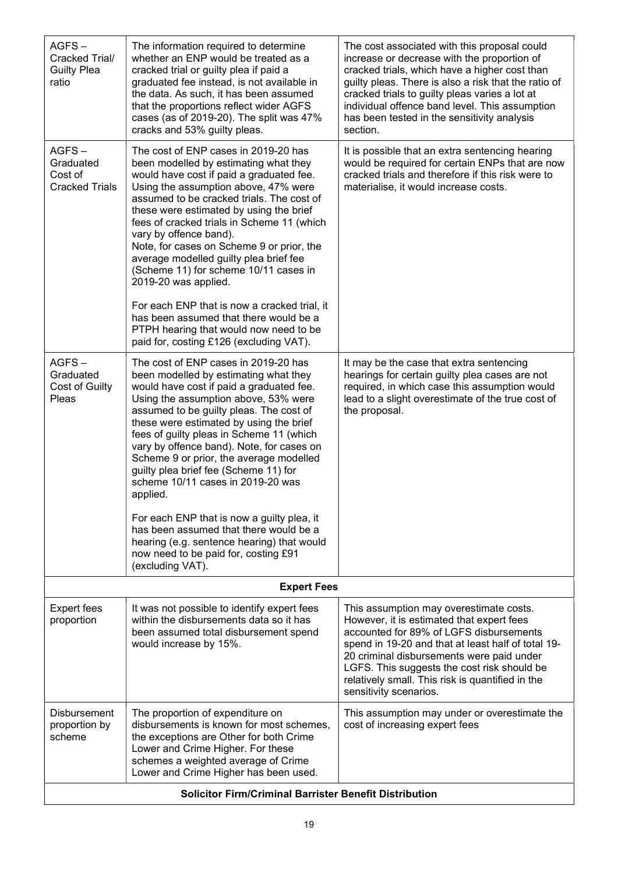| $AGFS -$<br>Cracked Trial/<br><b>Guilty Plea</b><br>ratio | The information required to determine<br>whether an ENP would be treated as a<br>cracked trial or guilty plea if paid a<br>graduated fee instead, is not available in<br>the data. As such, it has been assumed<br>that the proportions reflect wider AGFS<br>cases (as of 2019-20). The split was 47%<br>cracks and 53% guilty pleas.                                                                                                                                                                                                                                                                                                                                   | The cost associated with this proposal could<br>increase or decrease with the proportion of<br>cracked trials, which have a higher cost than<br>guilty pleas. There is also a risk that the ratio of<br>cracked trials to guilty pleas varies a lot at<br>individual offence band level. This assumption<br>has been tested in the sensitivity analysis<br>section. |
|-----------------------------------------------------------|--------------------------------------------------------------------------------------------------------------------------------------------------------------------------------------------------------------------------------------------------------------------------------------------------------------------------------------------------------------------------------------------------------------------------------------------------------------------------------------------------------------------------------------------------------------------------------------------------------------------------------------------------------------------------|---------------------------------------------------------------------------------------------------------------------------------------------------------------------------------------------------------------------------------------------------------------------------------------------------------------------------------------------------------------------|
| $AGFS -$<br>Graduated<br>Cost of<br><b>Cracked Trials</b> | The cost of ENP cases in 2019-20 has<br>been modelled by estimating what they<br>would have cost if paid a graduated fee.<br>Using the assumption above, 47% were<br>assumed to be cracked trials. The cost of<br>these were estimated by using the brief<br>fees of cracked trials in Scheme 11 (which<br>vary by offence band).<br>Note, for cases on Scheme 9 or prior, the<br>average modelled guilty plea brief fee<br>(Scheme 11) for scheme 10/11 cases in<br>2019-20 was applied.<br>For each ENP that is now a cracked trial, it<br>has been assumed that there would be a<br>PTPH hearing that would now need to be<br>paid for, costing £126 (excluding VAT). | It is possible that an extra sentencing hearing<br>would be required for certain ENPs that are now<br>cracked trials and therefore if this risk were to<br>materialise, it would increase costs.                                                                                                                                                                    |
| $AGFS -$<br>Graduated<br>Cost of Guilty<br>Pleas          | The cost of ENP cases in 2019-20 has<br>been modelled by estimating what they<br>would have cost if paid a graduated fee.<br>Using the assumption above, 53% were<br>assumed to be guilty pleas. The cost of<br>these were estimated by using the brief<br>fees of guilty pleas in Scheme 11 (which<br>vary by offence band). Note, for cases on<br>Scheme 9 or prior, the average modelled<br>guilty plea brief fee (Scheme 11) for<br>scheme 10/11 cases in 2019-20 was<br>applied.<br>For each ENP that is now a guilty plea, it<br>has been assumed that there would be a<br>hearing (e.g. sentence hearing) that would<br>now need to be paid for, costing £91      | It may be the case that extra sentencing<br>hearings for certain guilty plea cases are not<br>required, in which case this assumption would<br>lead to a slight overestimate of the true cost of<br>the proposal.                                                                                                                                                   |
|                                                           | (excluding VAT).<br><b>Expert Fees</b>                                                                                                                                                                                                                                                                                                                                                                                                                                                                                                                                                                                                                                   |                                                                                                                                                                                                                                                                                                                                                                     |
|                                                           |                                                                                                                                                                                                                                                                                                                                                                                                                                                                                                                                                                                                                                                                          |                                                                                                                                                                                                                                                                                                                                                                     |
| <b>Expert fees</b><br>proportion                          | It was not possible to identify expert fees<br>within the disbursements data so it has<br>been assumed total disbursement spend<br>would increase by 15%.                                                                                                                                                                                                                                                                                                                                                                                                                                                                                                                | This assumption may overestimate costs.<br>However, it is estimated that expert fees<br>accounted for 89% of LGFS disbursements<br>spend in 19-20 and that at least half of total 19-<br>20 criminal disbursements were paid under<br>LGFS. This suggests the cost risk should be<br>relatively small. This risk is quantified in the<br>sensitivity scenarios.     |
| Disbursement<br>proportion by<br>scheme                   | The proportion of expenditure on<br>disbursements is known for most schemes,<br>the exceptions are Other for both Crime<br>Lower and Crime Higher. For these<br>schemes a weighted average of Crime<br>Lower and Crime Higher has been used.                                                                                                                                                                                                                                                                                                                                                                                                                             | This assumption may under or overestimate the<br>cost of increasing expert fees                                                                                                                                                                                                                                                                                     |
|                                                           | <b>Solicitor Firm/Criminal Barrister Benefit Distribution</b>                                                                                                                                                                                                                                                                                                                                                                                                                                                                                                                                                                                                            |                                                                                                                                                                                                                                                                                                                                                                     |

 $\overline{\phantom{a}}$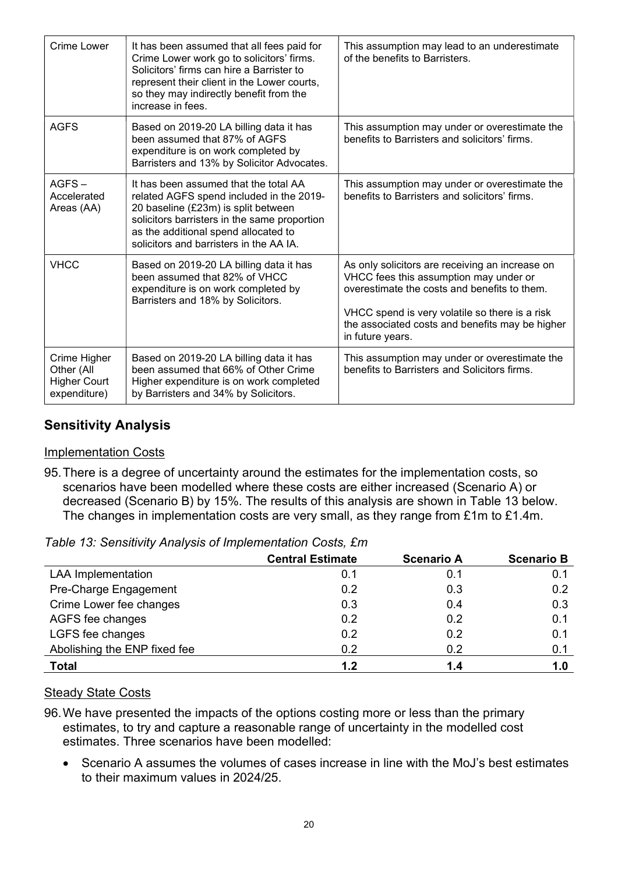| Crime Lower                                                       | It has been assumed that all fees paid for<br>Crime Lower work go to solicitors' firms.<br>Solicitors' firms can hire a Barrister to<br>represent their client in the Lower courts,<br>so they may indirectly benefit from the<br>increase in fees.         | This assumption may lead to an underestimate<br>of the benefits to Barristers.                                                                                                                                                                                     |
|-------------------------------------------------------------------|-------------------------------------------------------------------------------------------------------------------------------------------------------------------------------------------------------------------------------------------------------------|--------------------------------------------------------------------------------------------------------------------------------------------------------------------------------------------------------------------------------------------------------------------|
| <b>AGFS</b>                                                       | Based on 2019-20 LA billing data it has<br>been assumed that 87% of AGFS<br>expenditure is on work completed by<br>Barristers and 13% by Solicitor Advocates.                                                                                               | This assumption may under or overestimate the<br>benefits to Barristers and solicitors' firms.                                                                                                                                                                     |
| $AGFS -$<br>Accelerated<br>Areas (AA)                             | It has been assumed that the total AA<br>related AGFS spend included in the 2019-<br>20 baseline (£23m) is split between<br>solicitors barristers in the same proportion<br>as the additional spend allocated to<br>solicitors and barristers in the AA IA. | This assumption may under or overestimate the<br>benefits to Barristers and solicitors' firms.                                                                                                                                                                     |
| <b>VHCC</b>                                                       | Based on 2019-20 LA billing data it has<br>been assumed that 82% of VHCC<br>expenditure is on work completed by<br>Barristers and 18% by Solicitors.                                                                                                        | As only solicitors are receiving an increase on<br>VHCC fees this assumption may under or<br>overestimate the costs and benefits to them.<br>VHCC spend is very volatile so there is a risk<br>the associated costs and benefits may be higher<br>in future years. |
| Crime Higher<br>Other (All<br><b>Higher Court</b><br>expenditure) | Based on 2019-20 LA billing data it has<br>been assumed that 66% of Other Crime<br>Higher expenditure is on work completed<br>by Barristers and 34% by Solicitors.                                                                                          | This assumption may under or overestimate the<br>benefits to Barristers and Solicitors firms.                                                                                                                                                                      |

## Sensitivity Analysis

#### Implementation Costs

95. There is a degree of uncertainty around the estimates for the implementation costs, so scenarios have been modelled where these costs are either increased (Scenario A) or decreased (Scenario B) by 15%. The results of this analysis are shown in Table 13 below. The changes in implementation costs are very small, as they range from £1m to £1.4m.

|  |  |  | Table 13: Sensitivity Analysis of Implementation Costs, £m |  |
|--|--|--|------------------------------------------------------------|--|
|--|--|--|------------------------------------------------------------|--|

|                              | <b>Central Estimate</b> | <b>Scenario A</b> | <b>Scenario B</b> |
|------------------------------|-------------------------|-------------------|-------------------|
| <b>LAA</b> Implementation    | 0.1                     | 0.1               | 0.1               |
| Pre-Charge Engagement        | 0.2                     | 0.3               | 0.2               |
| Crime Lower fee changes      | 0.3                     | 0.4               | 0.3               |
| AGFS fee changes             | 0.2                     | 0.2               | 0.1               |
| LGFS fee changes             | 0.2                     | 0.2               | 0.1               |
| Abolishing the ENP fixed fee | 0.2                     | 0.2               | 0.1               |
| <b>Total</b>                 | 1.2                     | 1.4               | 1.0               |

#### **Steady State Costs**

- 96. We have presented the impacts of the options costing more or less than the primary estimates, to try and capture a reasonable range of uncertainty in the modelled cost estimates. Three scenarios have been modelled:
	- Scenario A assumes the volumes of cases increase in line with the MoJ's best estimates to their maximum values in 2024/25.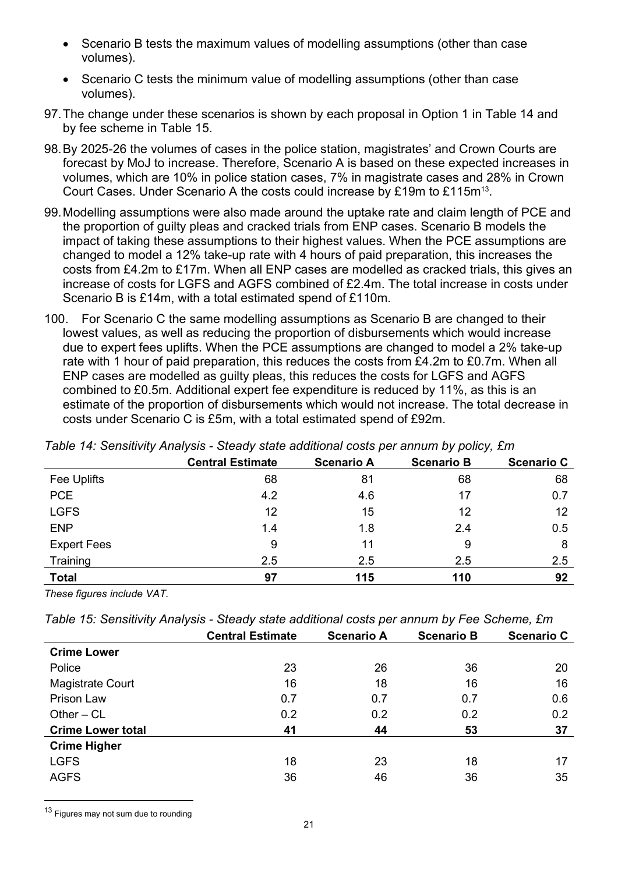- Scenario B tests the maximum values of modelling assumptions (other than case volumes).
- Scenario C tests the minimum value of modelling assumptions (other than case volumes).
- 97. The change under these scenarios is shown by each proposal in Option 1 in Table 14 and by fee scheme in Table 15.
- 98. By 2025-26 the volumes of cases in the police station, magistrates' and Crown Courts are forecast by MoJ to increase. Therefore, Scenario A is based on these expected increases in volumes, which are 10% in police station cases, 7% in magistrate cases and 28% in Crown Court Cases. Under Scenario A the costs could increase by £19m to £115m<sup>13</sup>.
- 99. Modelling assumptions were also made around the uptake rate and claim length of PCE and the proportion of guilty pleas and cracked trials from ENP cases. Scenario B models the impact of taking these assumptions to their highest values. When the PCE assumptions are changed to model a 12% take-up rate with 4 hours of paid preparation, this increases the costs from £4.2m to £17m. When all ENP cases are modelled as cracked trials, this gives an increase of costs for LGFS and AGFS combined of £2.4m. The total increase in costs under Scenario B is £14m, with a total estimated spend of £110m.
- 100. For Scenario C the same modelling assumptions as Scenario B are changed to their lowest values, as well as reducing the proportion of disbursements which would increase due to expert fees uplifts. When the PCE assumptions are changed to model a 2% take-up rate with 1 hour of paid preparation, this reduces the costs from £4.2m to £0.7m. When all ENP cases are modelled as guilty pleas, this reduces the costs for LGFS and AGFS combined to £0.5m. Additional expert fee expenditure is reduced by 11%, as this is an estimate of the proportion of disbursements which would not increase. The total decrease in costs under Scenario C is £5m, with a total estimated spend of £92m.

|                    | <b>Central Estimate</b> | <b>Scenario A</b> | <b>Scenario B</b> | <b>Scenario C</b> |
|--------------------|-------------------------|-------------------|-------------------|-------------------|
| Fee Uplifts        | 68                      | 81                | 68                | 68                |
| <b>PCE</b>         | 4.2                     | 4.6               | 17                | 0.7               |
| <b>LGFS</b>        | 12                      | 15                | 12                | 12                |
| <b>ENP</b>         | 1.4                     | 1.8               | 2.4               | 0.5               |
| <b>Expert Fees</b> | 9                       | 11                | 9                 | 8                 |
| Training           | 2.5                     | 2.5               | 2.5               | 2.5               |
| <b>Total</b>       | 97                      | 115               | 110               | 92                |

Table 14: Sensitivity Analysis - Steady state additional costs per annum by policy, £m

These figures include VAT.

|  |  | Table 15: Sensitivity Analysis - Steady state additional costs per annum by Fee Scheme, £m |  |  |
|--|--|--------------------------------------------------------------------------------------------|--|--|
|--|--|--------------------------------------------------------------------------------------------|--|--|

|                          | <b>Central Estimate</b> | <b>Scenario A</b> | <b>Scenario B</b> | <b>Scenario C</b> |
|--------------------------|-------------------------|-------------------|-------------------|-------------------|
| <b>Crime Lower</b>       |                         |                   |                   |                   |
| Police                   | 23                      | 26                | 36                | 20                |
| <b>Magistrate Court</b>  | 16                      | 18                | 16                | 16                |
| Prison Law               | 0.7                     | 0.7               | 0.7               | 0.6               |
| Other $-CL$              | 0.2                     | 0.2               | 0.2               | 0.2               |
| <b>Crime Lower total</b> | 41                      | 44                | 53                | 37                |
| <b>Crime Higher</b>      |                         |                   |                   |                   |
| <b>LGFS</b>              | 18                      | 23                | 18                | 17                |
| <b>AGFS</b>              | 36                      | 46                | 36                | 35                |
|                          |                         |                   |                   |                   |

<sup>13</sup> Figures may not sum due to rounding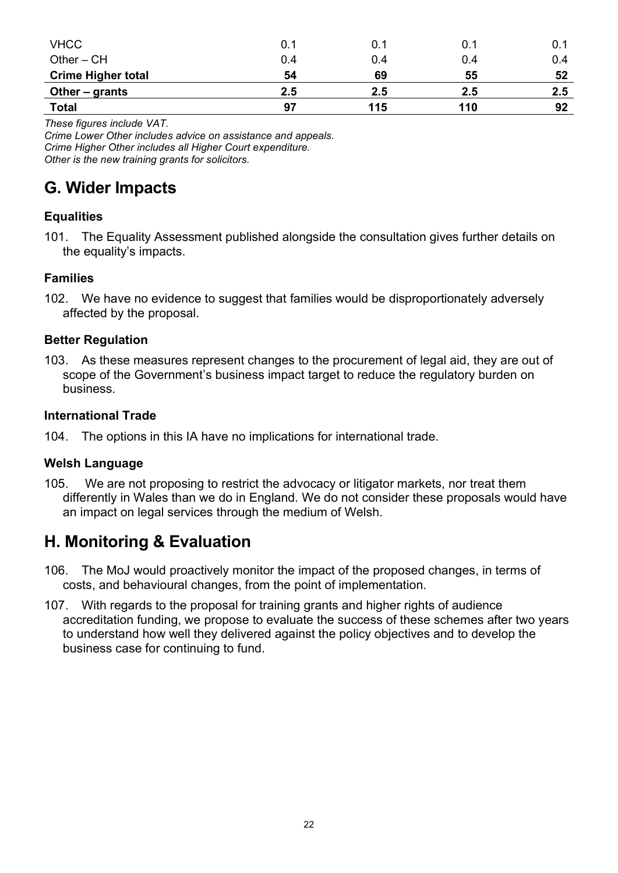| <b>VHCC</b>               | 0.1 | 0.1 | 0.1 | 0.1 |
|---------------------------|-----|-----|-----|-----|
| Other $-$ CH              | 0.4 | 0.4 | 0.4 | 0.4 |
| <b>Crime Higher total</b> | 54  | 69  | 55  | 52  |
| Other $-$ grants          | 2.5 | 2.5 | 2.5 | 2.5 |
| <b>Total</b>              | 97  | 115 | 110 | 92  |

These figures include VAT.

Crime Lower Other includes advice on assistance and appeals. Crime Higher Other includes all Higher Court expenditure. Other is the new training grants for solicitors.

## G. Wider Impacts

## **Equalities**

101. The Equality Assessment published alongside the consultation gives further details on the equality's impacts.

#### Families

102. We have no evidence to suggest that families would be disproportionately adversely affected by the proposal.

### Better Regulation

103. As these measures represent changes to the procurement of legal aid, they are out of scope of the Government's business impact target to reduce the regulatory burden on business.

#### International Trade

104. The options in this IA have no implications for international trade.

## Welsh Language

105. We are not proposing to restrict the advocacy or litigator markets, nor treat them differently in Wales than we do in England. We do not consider these proposals would have an impact on legal services through the medium of Welsh.

## H. Monitoring & Evaluation

- 106. The MoJ would proactively monitor the impact of the proposed changes, in terms of costs, and behavioural changes, from the point of implementation.
- 107. With regards to the proposal for training grants and higher rights of audience accreditation funding, we propose to evaluate the success of these schemes after two years to understand how well they delivered against the policy objectives and to develop the business case for continuing to fund.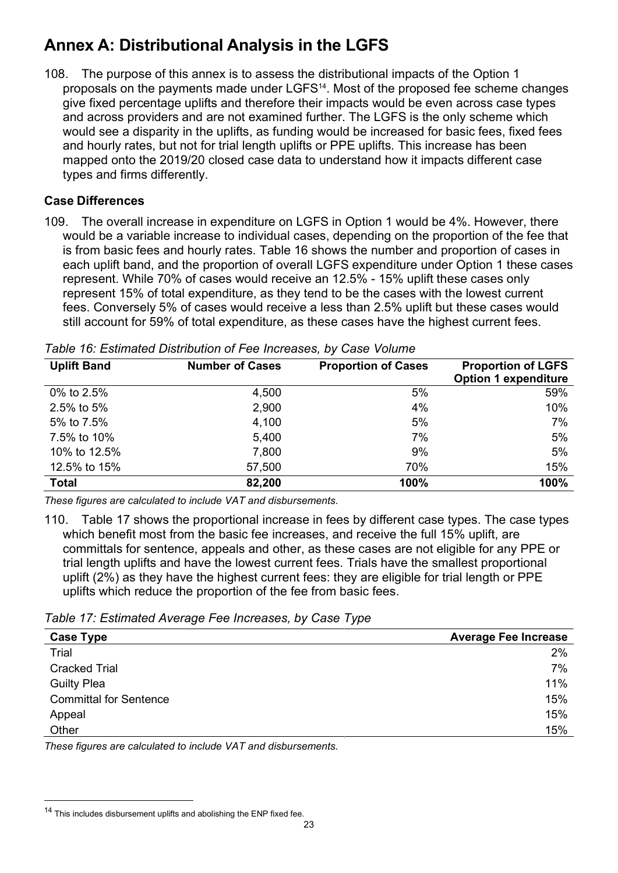## Annex A: Distributional Analysis in the LGFS

108. The purpose of this annex is to assess the distributional impacts of the Option 1 proposals on the payments made under LGFS14. Most of the proposed fee scheme changes give fixed percentage uplifts and therefore their impacts would be even across case types and across providers and are not examined further. The LGFS is the only scheme which would see a disparity in the uplifts, as funding would be increased for basic fees, fixed fees and hourly rates, but not for trial length uplifts or PPE uplifts. This increase has been mapped onto the 2019/20 closed case data to understand how it impacts different case types and firms differently.

### Case Differences

109. The overall increase in expenditure on LGFS in Option 1 would be 4%. However, there would be a variable increase to individual cases, depending on the proportion of the fee that is from basic fees and hourly rates. Table 16 shows the number and proportion of cases in each uplift band, and the proportion of overall LGFS expenditure under Option 1 these cases represent. While 70% of cases would receive an 12.5% - 15% uplift these cases only represent 15% of total expenditure, as they tend to be the cases with the lowest current fees. Conversely 5% of cases would receive a less than 2.5% uplift but these cases would still account for 59% of total expenditure, as these cases have the highest current fees.

| <b>Uplift Band</b> | <b>Number of Cases</b> | <b>Proportion of Cases</b> | <b>Proportion of LGFS</b>   |
|--------------------|------------------------|----------------------------|-----------------------------|
|                    |                        |                            | <b>Option 1 expenditure</b> |
| 0% to 2.5%         | 4,500                  | 5%                         | 59%                         |
| 2.5% to 5%         | 2,900                  | 4%                         | 10%                         |
| 5% to 7.5%         | 4,100                  | 5%                         | 7%                          |
| 7.5% to 10%        | 5,400                  | 7%                         | 5%                          |
| 10% to 12.5%       | 7,800                  | 9%                         | 5%                          |
| 12.5% to 15%       | 57,500                 | 70%                        | 15%                         |
| <b>Total</b>       | 82,200                 | 100%                       | 100%                        |

Table 16: Estimated Distribution of Fee Increases, by Case Volume

These figures are calculated to include VAT and disbursements.

110. Table 17 shows the proportional increase in fees by different case types. The case types which benefit most from the basic fee increases, and receive the full 15% uplift, are committals for sentence, appeals and other, as these cases are not eligible for any PPE or trial length uplifts and have the lowest current fees. Trials have the smallest proportional uplift (2%) as they have the highest current fees: they are eligible for trial length or PPE uplifts which reduce the proportion of the fee from basic fees.

Table 17: Estimated Average Fee Increases, by Case Type

| <b>Average Fee Increase</b> |
|-----------------------------|
| 2%                          |
| 7%                          |
| 11%                         |
| 15%                         |
| 15%                         |
| 15%                         |
|                             |

These figures are calculated to include VAT and disbursements.

<sup>&</sup>lt;sup>14</sup> This includes disbursement uplifts and abolishing the ENP fixed fee.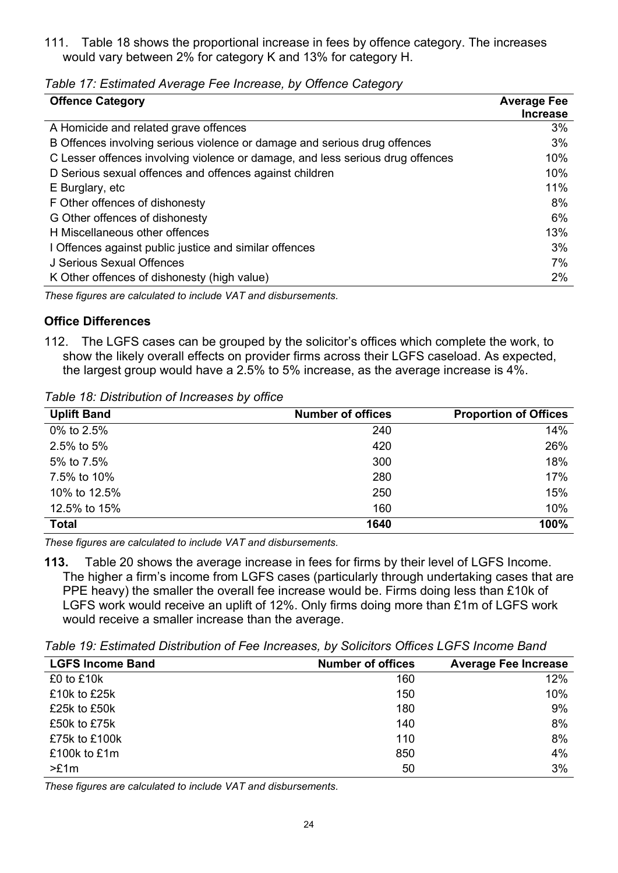111. Table 18 shows the proportional increase in fees by offence category. The increases would vary between 2% for category K and 13% for category H.

| <b>Offence Category</b>                                                        | <b>Average Fee</b><br><b>Increase</b> |
|--------------------------------------------------------------------------------|---------------------------------------|
| A Homicide and related grave offences                                          | 3%                                    |
| B Offences involving serious violence or damage and serious drug offences      | 3%                                    |
| C Lesser offences involving violence or damage, and less serious drug offences | 10%                                   |
| D Serious sexual offences and offences against children                        | 10%                                   |
| E Burglary, etc                                                                | 11%                                   |
| F Other offences of dishonesty                                                 | 8%                                    |
| G Other offences of dishonesty                                                 | 6%                                    |
| H Miscellaneous other offences                                                 | 13%                                   |
| I Offences against public justice and similar offences                         | 3%                                    |
| J Serious Sexual Offences                                                      | 7%                                    |
| K Other offences of dishonesty (high value)                                    | $2\%$                                 |

Table 17: Estimated Average Fee Increase, by Offence Category

These figures are calculated to include VAT and disbursements.

### Office Differences

112. The LGFS cases can be grouped by the solicitor's offices which complete the work, to show the likely overall effects on provider firms across their LGFS caseload. As expected, the largest group would have a 2.5% to 5% increase, as the average increase is 4%.

Table 18: Distribution of Increases by office

| <b>Uplift Band</b> | <b>Number of offices</b> | <b>Proportion of Offices</b> |
|--------------------|--------------------------|------------------------------|
| 0% to 2.5%         | 240                      | 14%                          |
| 2.5% to 5%         | 420                      | 26%                          |
| 5% to 7.5%         | 300                      | 18%                          |
| 7.5% to 10%        | 280                      | 17%                          |
| 10% to 12.5%       | 250                      | 15%                          |
| 12.5% to 15%       | 160                      | 10%                          |
| <b>Total</b>       | 1640                     | 100%                         |

These figures are calculated to include VAT and disbursements.

113. Table 20 shows the average increase in fees for firms by their level of LGFS Income. The higher a firm's income from LGFS cases (particularly through undertaking cases that are PPE heavy) the smaller the overall fee increase would be. Firms doing less than £10k of LGFS work would receive an uplift of 12%. Only firms doing more than £1m of LGFS work would receive a smaller increase than the average.

Table 19: Estimated Distribution of Fee Increases, by Solicitors Offices LGFS Income Band

| <b>LGFS Income Band</b> | <b>Number of offices</b> | <b>Average Fee Increase</b> |
|-------------------------|--------------------------|-----------------------------|
| £0 to £10k              | 160                      | 12%                         |
| £10k to £25k            | 150                      | 10%                         |
| £25k to £50k            | 180                      | 9%                          |
| £50k to £75k            | 140                      | 8%                          |
| £75k to £100k           | 110                      | 8%                          |
| £100k to £1m            | 850                      | 4%                          |
| >E1m                    | 50                       | 3%                          |

These figures are calculated to include VAT and disbursements.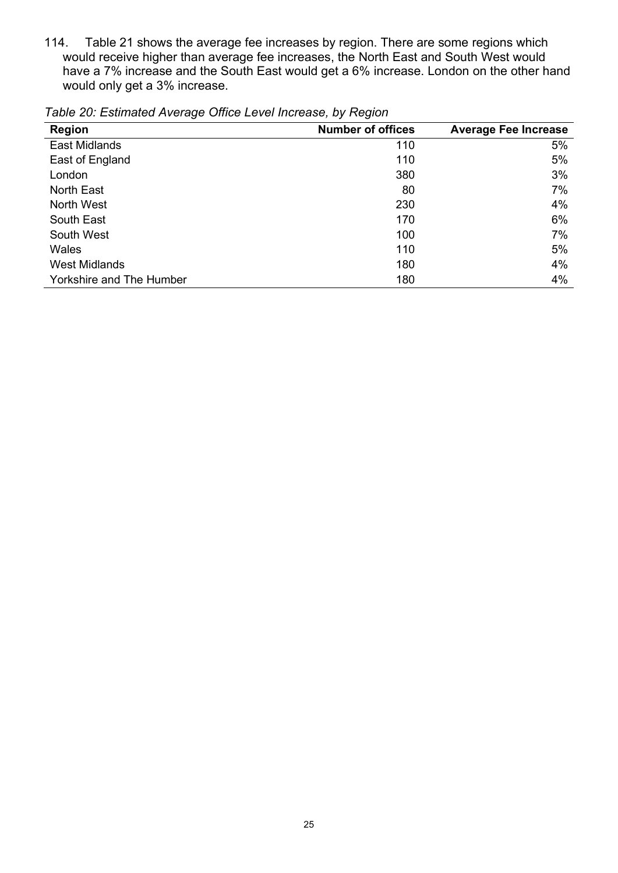114. Table 21 shows the average fee increases by region. There are some regions which would receive higher than average fee increases, the North East and South West would have a 7% increase and the South East would get a 6% increase. London on the other hand would only get a 3% increase.

| <b>Region</b>                   | <b>Number of offices</b> | <b>Average Fee Increase</b> |
|---------------------------------|--------------------------|-----------------------------|
| <b>East Midlands</b>            | 110                      | 5%                          |
| East of England                 | 110                      | 5%                          |
| London                          | 380                      | 3%                          |
| <b>North East</b>               | 80                       | 7%                          |
| North West                      | 230                      | 4%                          |
| South East                      | 170                      | 6%                          |
| South West                      | 100                      | 7%                          |
| Wales                           | 110                      | 5%                          |
| <b>West Midlands</b>            | 180                      | 4%                          |
| <b>Yorkshire and The Humber</b> | 180                      | 4%                          |

Table 20: Estimated Average Office Level Increase, by Region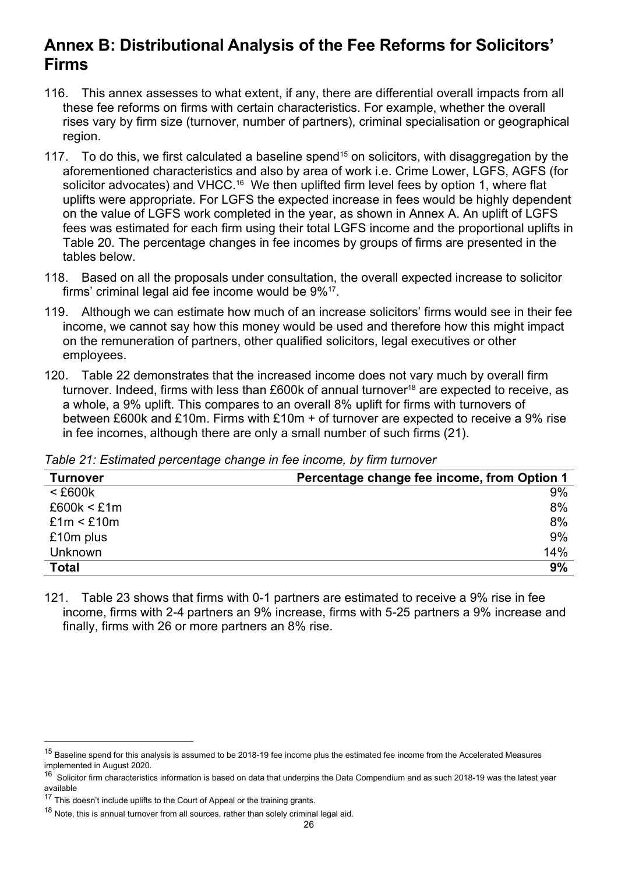## Annex B: Distributional Analysis of the Fee Reforms for Solicitors' Firms

- 116. This annex assesses to what extent, if any, there are differential overall impacts from all these fee reforms on firms with certain characteristics. For example, whether the overall rises vary by firm size (turnover, number of partners), criminal specialisation or geographical region.
- 117. To do this, we first calculated a baseline spend<sup>15</sup> on solicitors, with disaggregation by the aforementioned characteristics and also by area of work i.e. Crime Lower, LGFS, AGFS (for solicitor advocates) and VHCC.<sup>16</sup> We then uplifted firm level fees by option 1, where flat uplifts were appropriate. For LGFS the expected increase in fees would be highly dependent on the value of LGFS work completed in the year, as shown in Annex A. An uplift of LGFS fees was estimated for each firm using their total LGFS income and the proportional uplifts in Table 20. The percentage changes in fee incomes by groups of firms are presented in the tables below.
- 118. Based on all the proposals under consultation, the overall expected increase to solicitor firms' criminal legal aid fee income would be 9%<sup>17</sup>.
- 119. Although we can estimate how much of an increase solicitors' firms would see in their fee income, we cannot say how this money would be used and therefore how this might impact on the remuneration of partners, other qualified solicitors, legal executives or other employees.
- 120. Table 22 demonstrates that the increased income does not vary much by overall firm turnover. Indeed, firms with less than £600k of annual turnover<sup>18</sup> are expected to receive, as a whole, a 9% uplift. This compares to an overall 8% uplift for firms with turnovers of between £600k and £10m. Firms with £10m + of turnover are expected to receive a 9% rise in fee incomes, although there are only a small number of such firms (21).

Table 21: Estimated percentage change in fee income, by firm turnover

| <b>Turnover</b> | Percentage change fee income, from Option 1 |
|-----------------|---------------------------------------------|
| $<$ £600 $k$    | 9%                                          |
| £600k < £1m     | 8%                                          |
| £1m < £10m      | 8%                                          |
| £10m plus       | 9%                                          |
| <b>Unknown</b>  | 14%                                         |
| <b>Total</b>    | 9%                                          |

121. Table 23 shows that firms with 0-1 partners are estimated to receive a 9% rise in fee income, firms with 2-4 partners an 9% increase, firms with 5-25 partners a 9% increase and finally, firms with 26 or more partners an 8% rise.

<sup>&</sup>lt;sup>15</sup> Baseline spend for this analysis is assumed to be 2018-19 fee income plus the estimated fee income from the Accelerated Measures implemented in August 2020.

 $16$  Solicitor firm characteristics information is based on data that underpins the Data Compendium and as such 2018-19 was the latest year available

 $17$  This doesn't include uplifts to the Court of Appeal or the training grants.

 $18$  Note, this is annual turnover from all sources, rather than solely criminal legal aid.